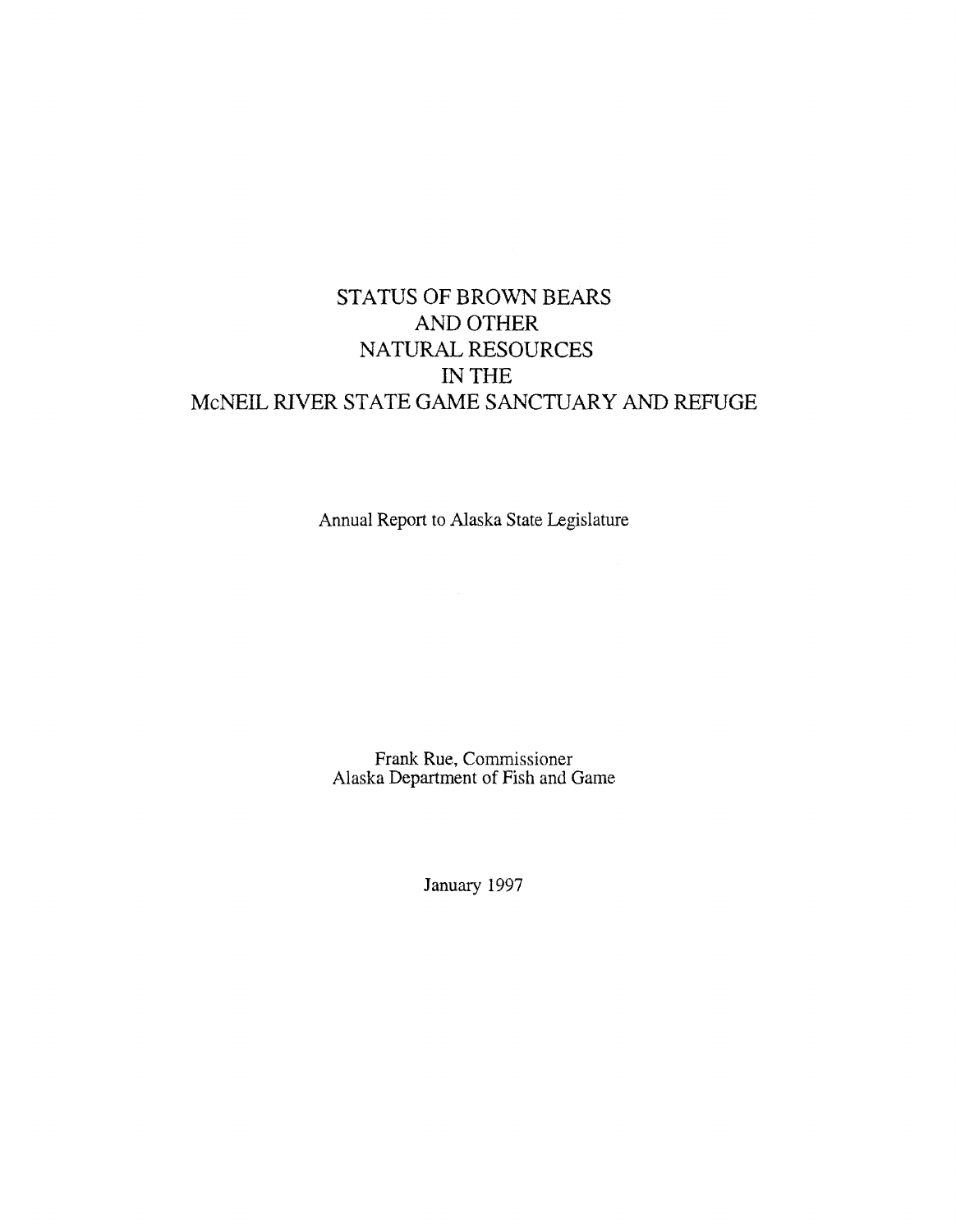# STATUS OF BROWN BEARS AND OTHER NATURAL RESOURCES IN THE McNEIL RIVER STATE GAME SANCTUARY AND REFUGE

Annual Report to Alaska State Legislature

Frank Rue, Commissioner Alaska Department of Fish and Game

January 1997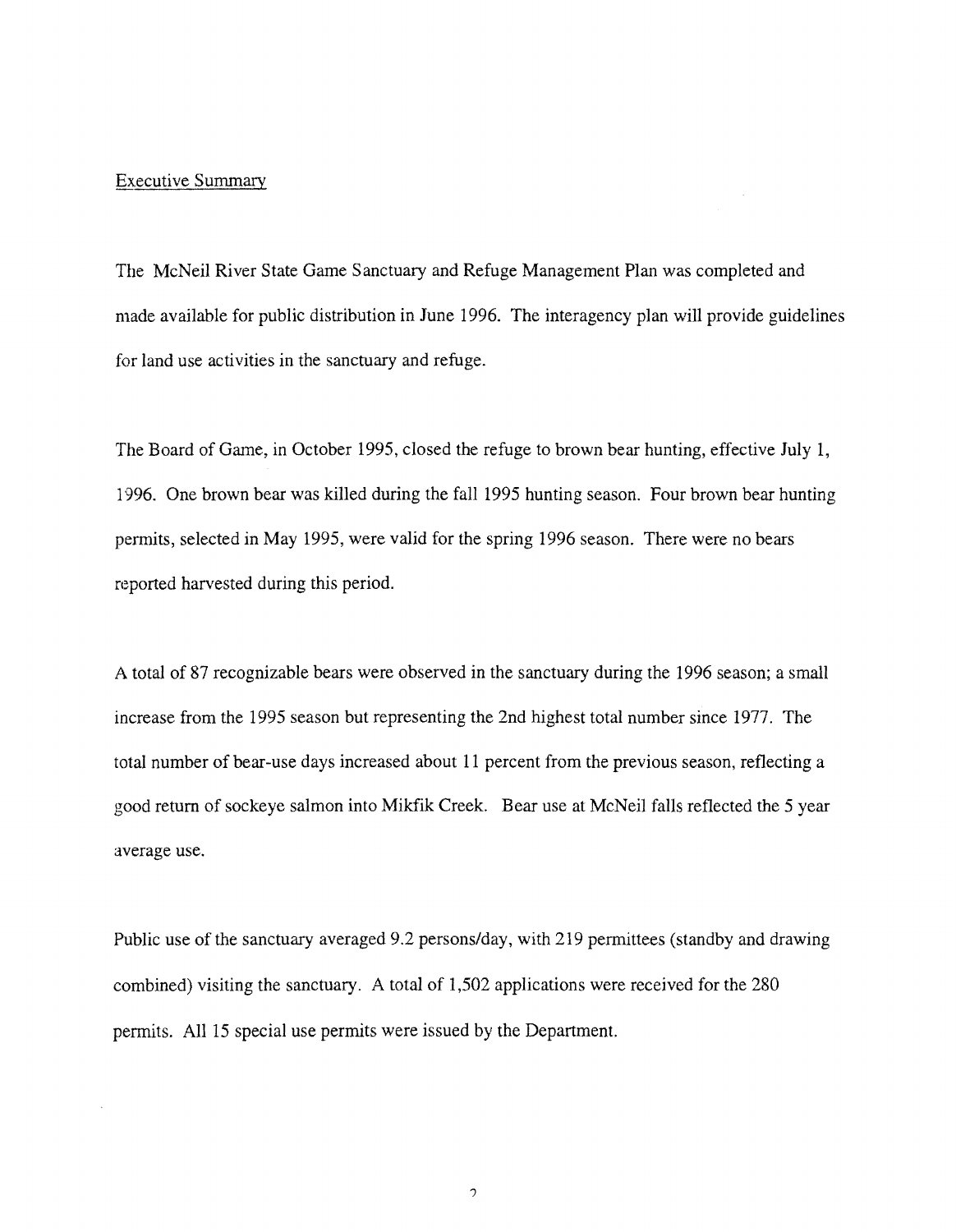#### Executive Summary

The McNeil River State Game Sanctuary and Refuge Management Plan was completed and made available for public distribution in June 1996. The interagency plan will provide guidelines for land use activities in the sanctuary and refuge.

The Board of Game, in October 1995, closed the refuge to brown bear hunting, effective July 1, 1996. One brown bear was killed during the fall 1995 hunting season. Four brown bear hunting permits, selected in May 1995, were valid for the spring 1996 season. There were no bears reported harvested during this period.

A total of 87 recognizable bears were observed in the sanctuary during the 1996 season; a small increase from the 1995 season but representing the 2nd highest total number since 1977. The total number of bear-use days increased about 11 percent from the previous season, reflecting a good return of sockeye salmon into Mikfik Creek. Bear use at McNeil falls reflected the 5 year average use.

Public use of the sanctuary averaged 9.2 persons/day, with 219 permittees (standby and drawing combined) visiting the sanctuary. A total of 1,502 applications were received for the 280 permits. All 15 special use permits were issued by the Department.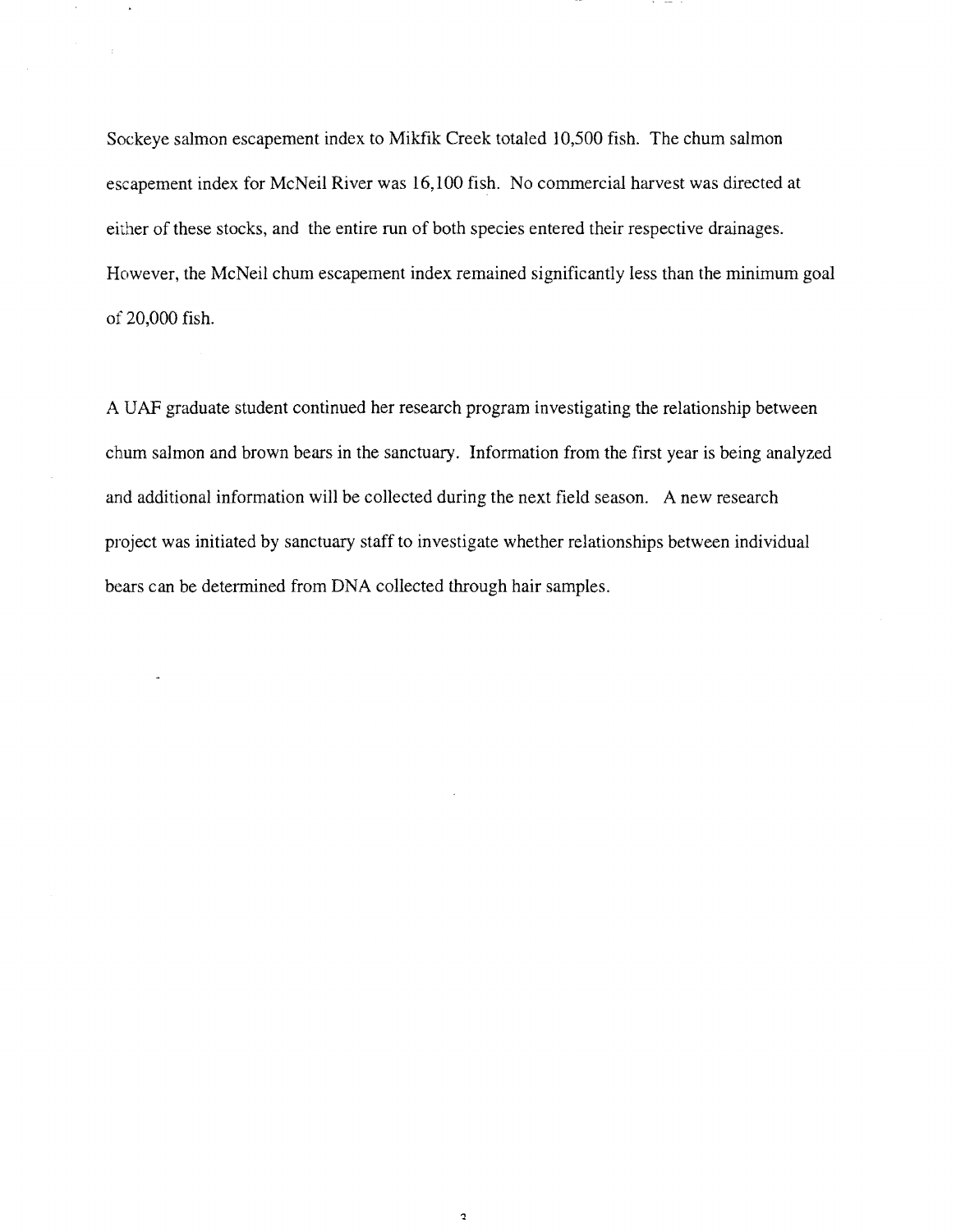Sockeye salmon escapement index to Mikfik Creek totaled 10,500 fish. The chum salmon escapement index for McNeil River was 16,100 fish. No commercial harvest was directed at either of these stocks, and the entire run of both species entered their respective drainages. However, the McNeil chum escapement index remained significantly less than the minimum goal of 20,000 fish.

A UAF graduate student continued her research program investigating the relationship between chum salmon and brown bears in the sanctuary. Information from the first year is being analyzed and additional information will be collected during the next field season. A new research project was initiated by sanctuary staff to investigate whether relationships between individual bears can be determined from DNA collected through hair samples.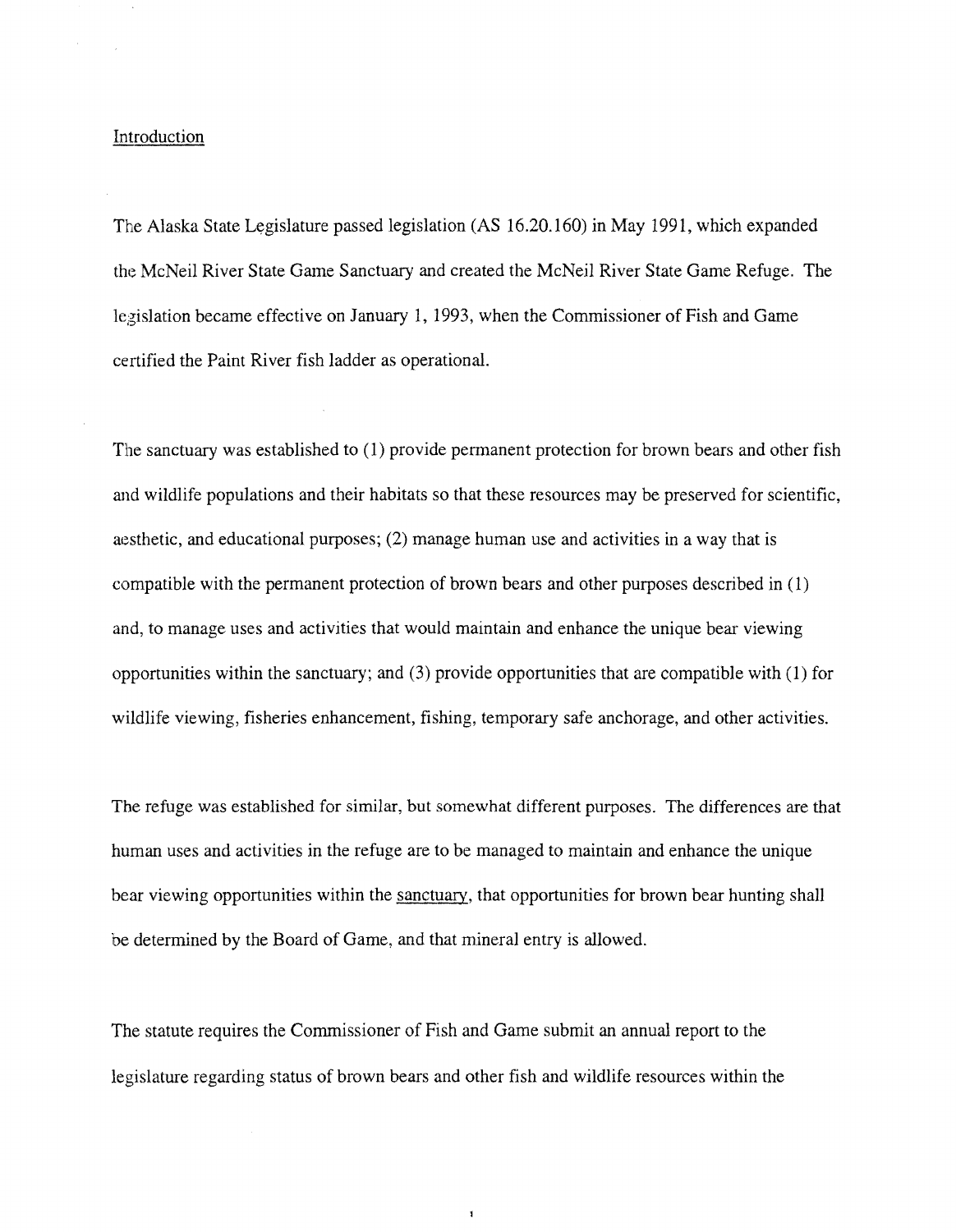# Introduction

The Alaska State Legislature passed legislation (AS 16.20.160) in May 1991, which expanded the McNeil River State Game Sanctuary and created the McNeil River State Game Refuge. The legislation became effective on January 1, 1993, when the Commissioner of Fish and Game certified the Paint River fish ladder as operational.

The sanctuary was established to (1) provide permanent protection for brown bears and other fish and wildlife populations and their habitats so that these resources may be preserved for scientific, aesthetic, and educational purposes;  $(2)$  manage human use and activities in a way that is compatible with the permanent protection of brown bears and other purposes described in ( 1) and, to manage uses and activities that would maintain and enhance the unique bear viewing opportunities within the sanctuary; and (3) provide opportunities that are compatible with (1) for wildlife viewing, fisheries enhancement, fishing, temporary safe anchorage, and other activities.

The refuge was established for similar, but somewhat different purposes. The differences are that human uses and activities in the refuge are to be managed to maintain and enhance the unique bear viewing opportunities within the sanctuary, that opportunities for brown bear hunting shall be determined by the Board of Game, and that mineral entry is allowed.

The statute requires the Commissioner of Fish and Game submit an annual report to the legislature regarding status of brown bears and other fish and wildlife resources within the

 $\mathbf{I}$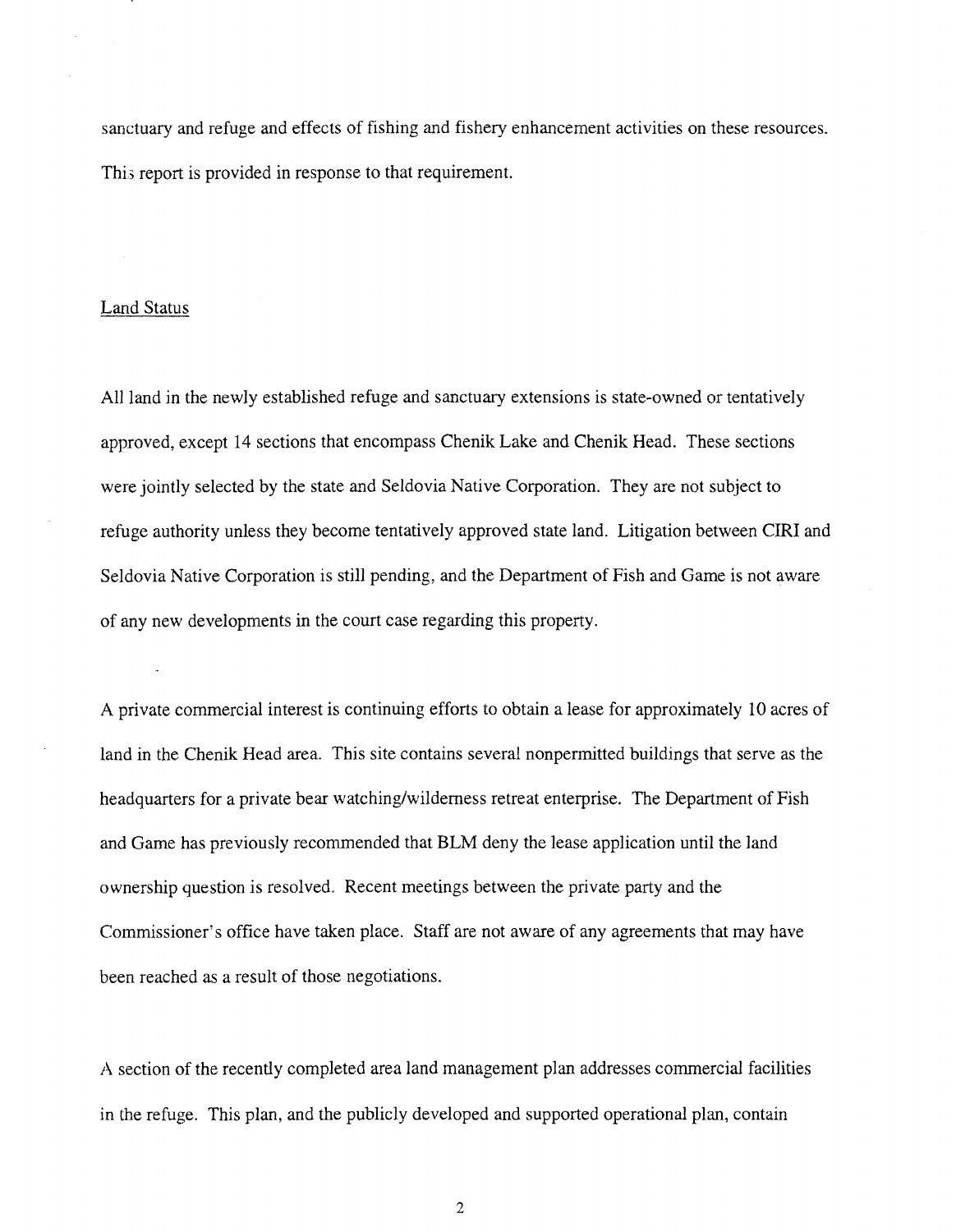sanctuary and refuge and effects of fishing and fishery enhancement activities on these resources. This report is provided in response to that requirement.

# Land Status

All land in the newly established refuge and sanctuary extensions is state-owned or tentatively approved, except 14 sections that encompass Chenik Lake and Chenik Head. These sections were jointly selected by the state and Seldovia Native Corporation. They are not subject to refuge authority unless they become tentatively approved state land. Litigation between CIRI and Seldovia Native Corporation is still pending, and the Department of Fish and Game is not aware of any new developments in the court case regarding this property.

A private commercial interest is continuing efforts to obtain a lease for approximately 10 acres of land in the Chenik Head area. This site contains several nonpermitted buildings that serve as the headquarters for a private bear watching/wilderness retreat enterprise. The Department of Fish and Game has previously recommended that BLM deny the lease application until the land ownership question is resolved. Recent meetings between the private party and the Commissioner's office have taken place. Staff are not aware of any agreements that may have been reached as a result of those negotiations.

A section of the recently completed area land management plan addresses commercial facilities in the refuge. This plan, and the publicly developed and supported operational plan, contain

2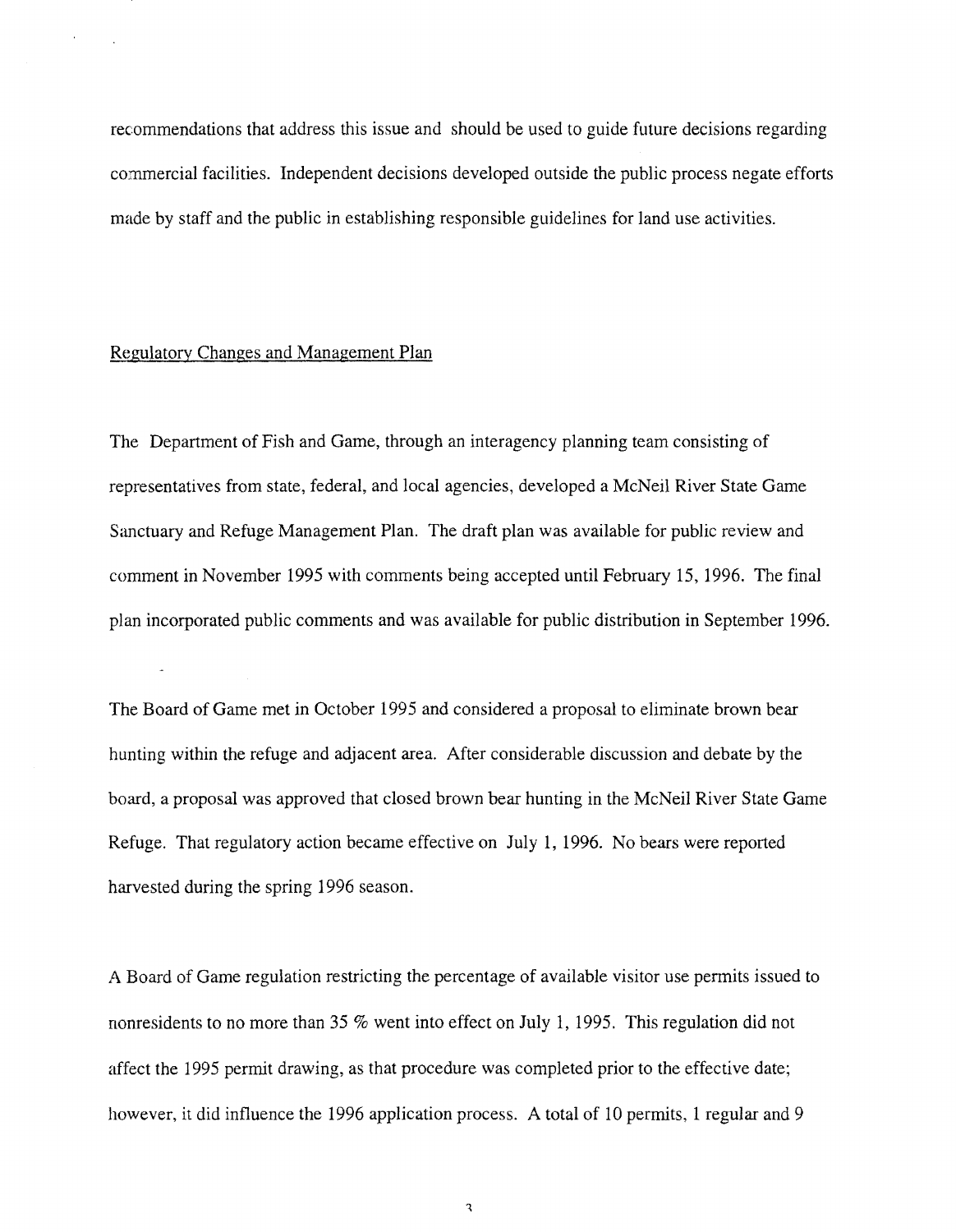recommendations that address this issue and should be used to guide future decisions regarding commercial facilities. Independent decisions developed outside the public process negate efforts made by staff and the public in establishing responsible guidelines for land use activities.

# Regulatory Changes and Management Plan

The Department of Fish and Game, through an interagency planning team consisting of representatives from state, federal, and local agencies, developed a McNeil River State Game Sanctuary and Refuge Management Plan. The draft plan was available for public review and comment in November 1995 with comments being accepted until February 15, 1996. The final plan incorporated public comments and was available for public distribution in September 1996.

The Board of Game met in October 1995 and considered a proposal to eliminate brown bear hunting within the refuge and adjacent area. After considerable discussion and debate by the board, a proposal was approved that closed brown bear hunting in the McNeil River State Game Refuge. That regulatory action became effective on July 1, 1996. No bears were reported harvested during the spring 1996 season.

A Board of Game regulation restricting the percentage of available visitor use permits issued to nonresidents to no more than 35 % went into effect on July 1, 1995. This regulation did not affect the 1995 permit drawing, as that procedure was completed prior to the effective date; however, it did influence the 1996 application process. A total of 10 permits, 1 regular and 9

 $\ensuremath{\mathsf{3}}$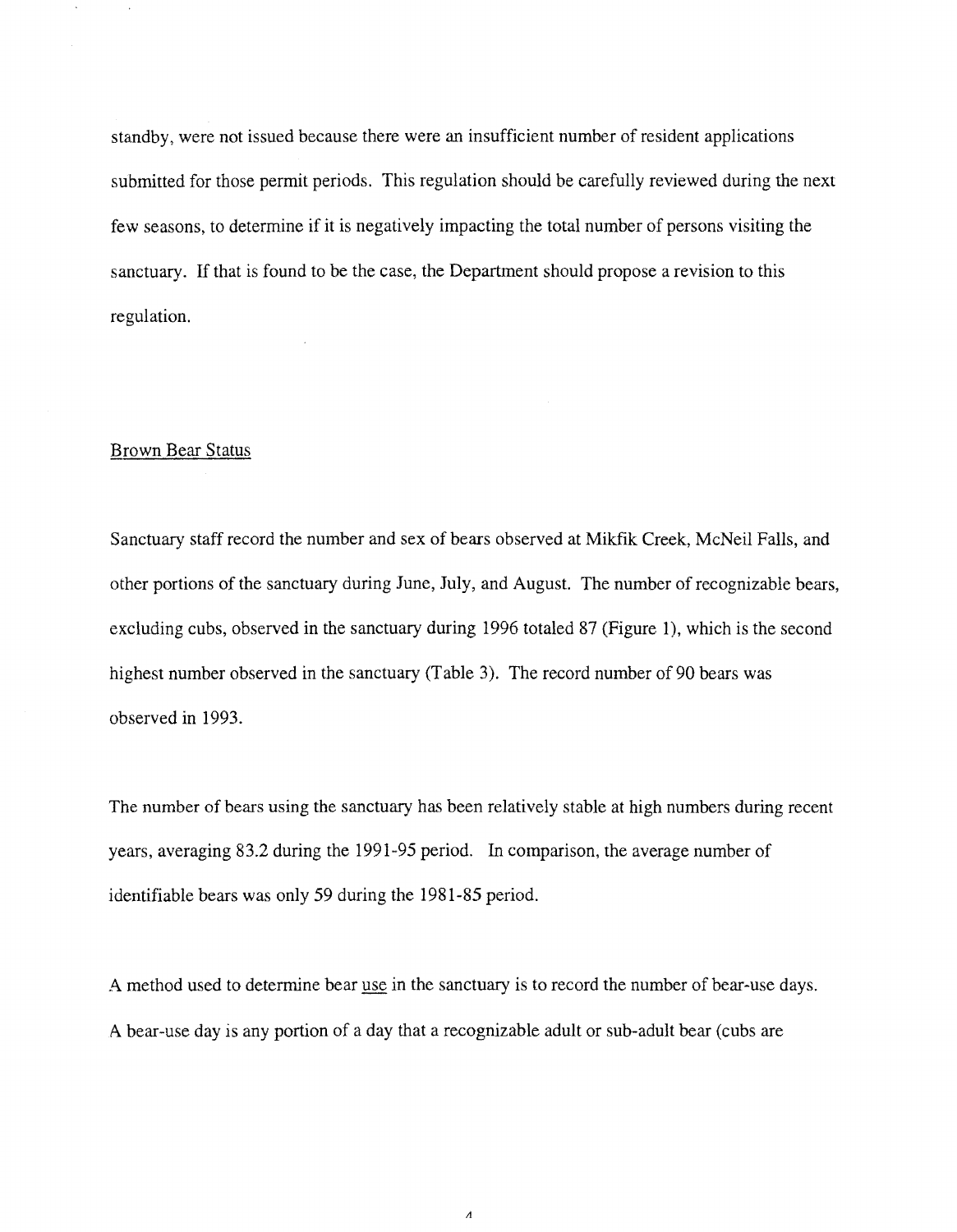standby, were not issued because there were an insufficient number of resident applications submitted for those permit periods. This regulation should be carefully reviewed during the next few seasons, to determine if it is negatively impacting the total number of persons visiting the sanctuary. If that is found to be the case, the Department should propose a revision to this regulation.

# Brown Bear Status

Sanctuary staff record the number and sex of bears observed at Mikfik Creek, McNeil Falls, and other portions of the sanctuary during June, July, and August. The number of recognizable bears, excluding cubs, observed in the sanctuary during 1996 totaled 87 (Figure 1), which is the second highest number observed in the sanctuary (Table 3). The record number of 90 bears was observed in 1993.

The number of bears using the sanctuary has been relatively stable at high numbers during recent years, averaging 83.2 during the 1991-95 period. In comparison, the average number of identifiable bears was only 59 during the 1981-85 period.

A method used to determine bear use in the sanctuary is to record the number of bear-use days. A bear-use day is any portion of a day that a recognizable adult or sub-adult bear (cubs are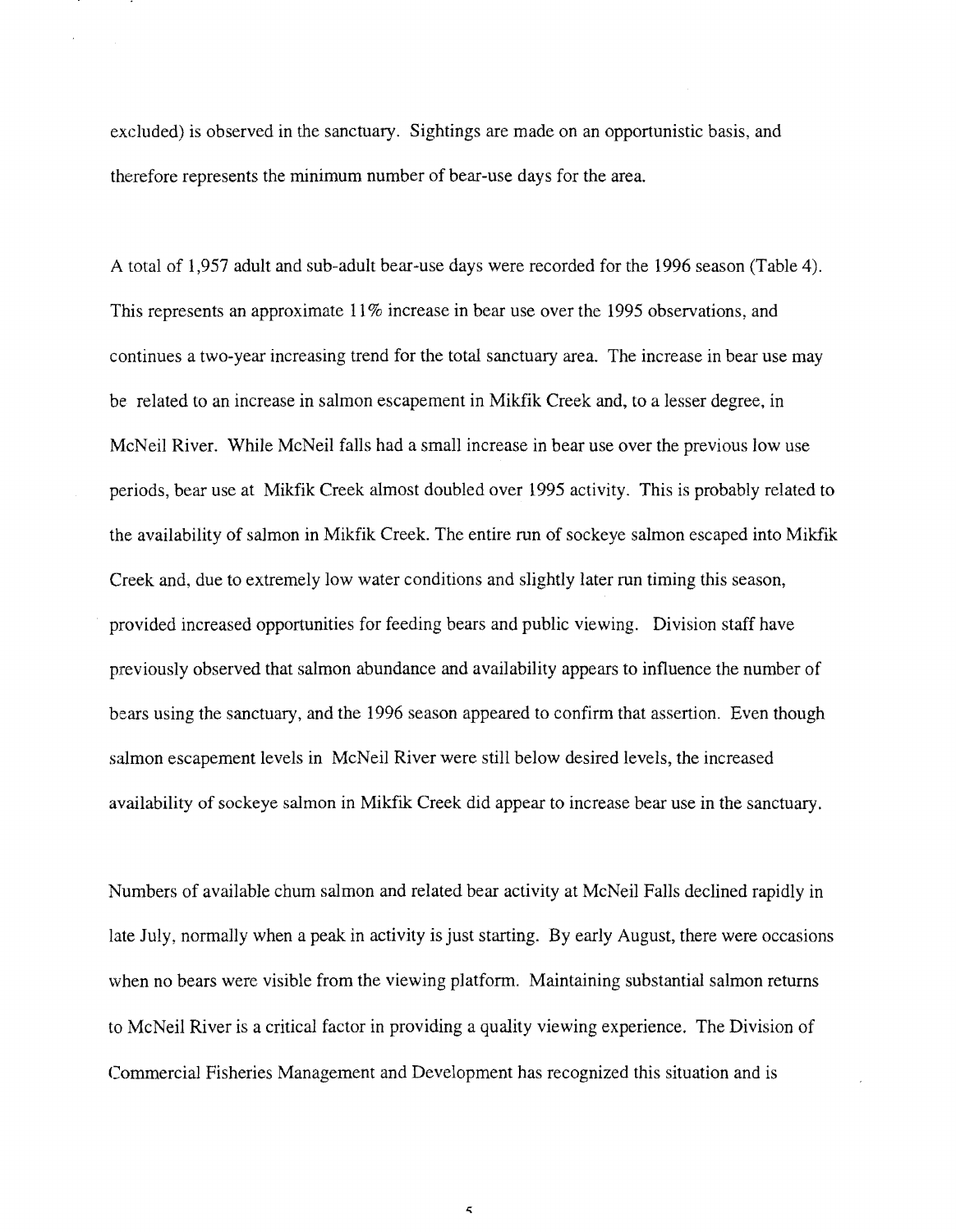excluded) is observed in the sanctuary. Sightings are made on an opportunistic basis, and therefore represents the minimum number of bear-use days for the area.

A total of 1,957 adult and sub-adult bear-use days were recorded for the 1996 season (Table 4). This represents an approximate 11% increase in bear use over the 1995 observations, and continues a two-year increasing trend for the total sanctuary area. The increase in bear use may be related to an increase in salmon escapement in Mikfik Creek and, to a lesser degree, in McNeil River. While McNeil falls had a small increase in bear use over the previous low use periods, bear use at Mikfik Creek almost doubled over 1995 activity. This is probably related to the availability of salmon in Mikfik Creek. The entire run of sockeye salmon escaped into Mikfik Creek and, due to extremely low water conditions and slightly later run timing this season, provided increased opportunities for feeding bears and public viewing. Division staff have previously observed that salmon abundance and availability appears to influence the number of bears using the sanctuary, and the 1996 season appeared to confirm that assertion. Even though salmon escapement levels in McNeil River were still below desired levels, the increased availability of sockeye salmon in Mikflk Creek did appear to increase bear use in the sanctuary.

Numbers of available churn salmon and related bear activity at McNeil Falls declined rapidly in late July, normally when a peak in activity is just starting. By early August, there were occasions when no bears were visible from the viewing platform. Maintaining substantial salmon returns to McNeil River is a critical factor in providing a quality viewing experience. The Division of Commercial Fisheries Management and Development has recognized this situation and is

 $\leq$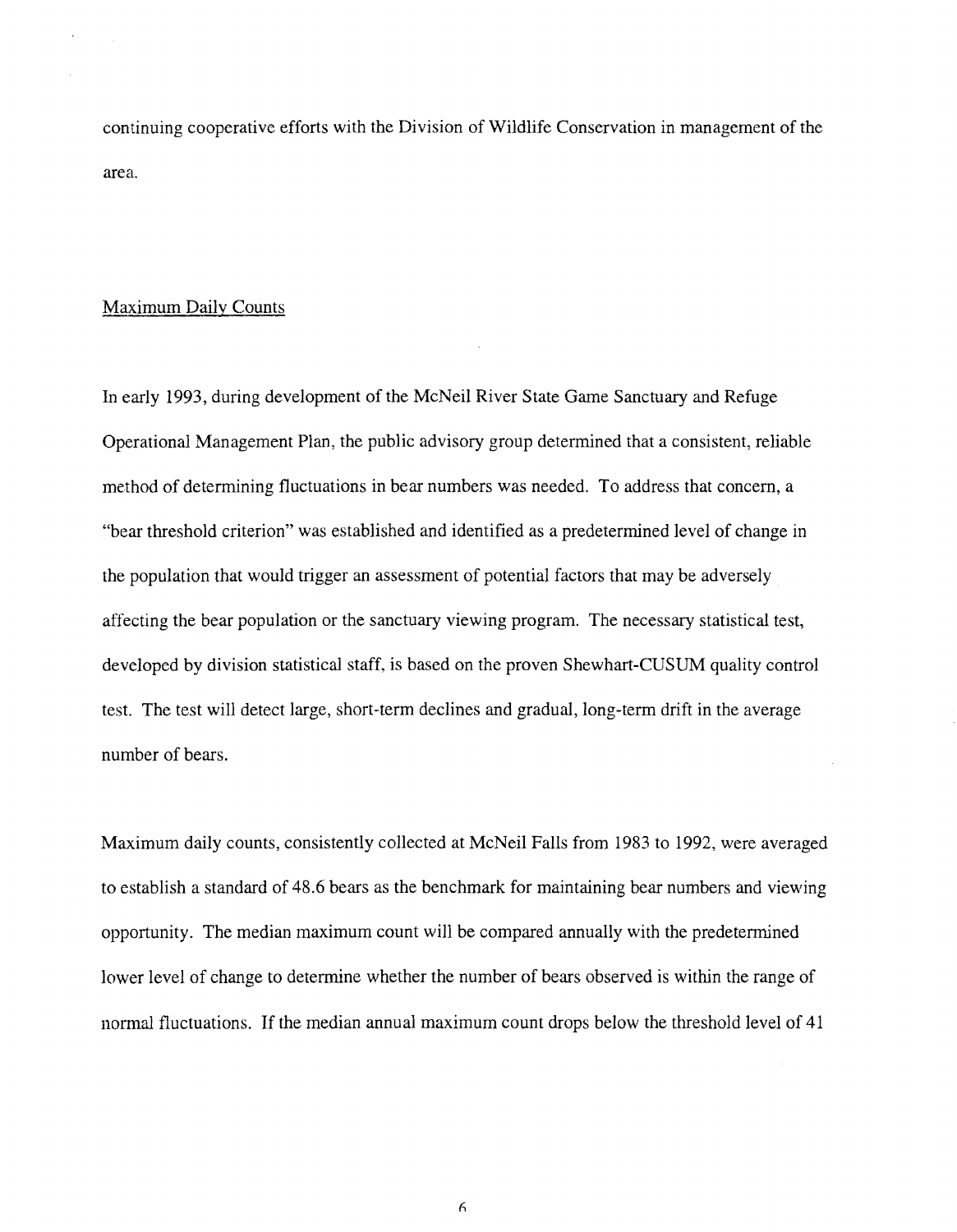continuing cooperative efforts with the Division of Wildlife Conservation in management of the area.

# Maximum Daily Counts

In early 1993, during development of the McNeil River State Game Sanctuary and Refuge Operational Management Plan, the public advisory group determined that a consistent, reliable method of determining fluctuations in bear numbers was needed. To address that concern, a "bear threshold criterion" was established and identified as a predetermined level of change in the population that would trigger an assessment of potential factors that may be adversely affecting the bear population or the sanctuary viewing program. The necessary statistical test, developed by division statistical staff, is based on the proven Shewhart-CUSUM quality control test. The test will detect large, short-term declines and gradual, long-term drift in the average number of bears.

Maximum daily counts, consistently collected at McNeil Falls from 1983 to 1992, were averaged to establish a standard of 48.6 bears as the benchmark for maintaining bear numbers and viewing opportunity. The median maximum count will be compared annually with the predetermined lower level of change to determine whether the number of bears observed is within the range of normal fluctuations. If the median annual maximum count drops below the threshold level of 41

6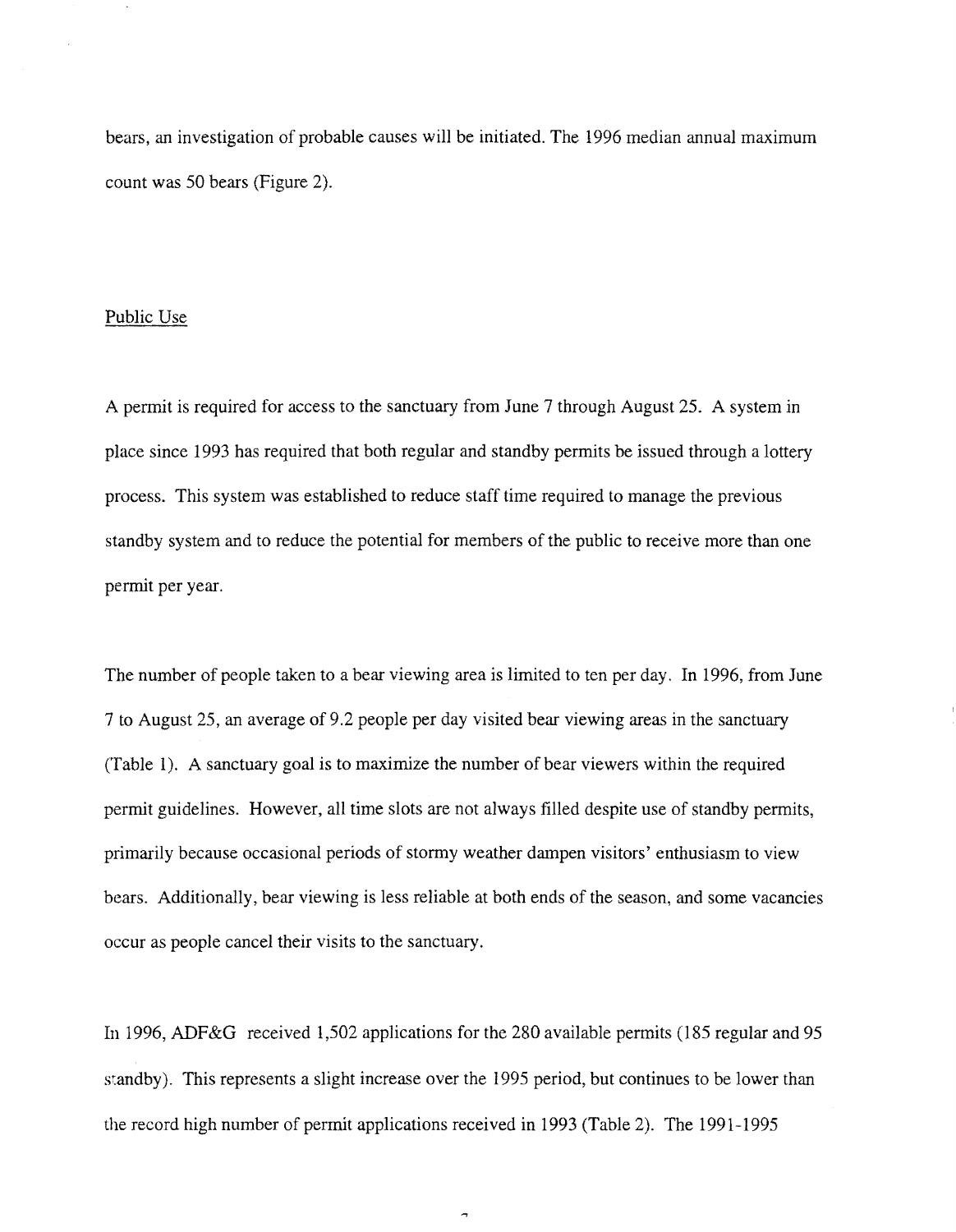bears, an investigation of probable causes will be initiated. The 1996 median annual maximum count was 50 bears (Figure 2).

#### Public Use

A permit is required for access to the sanctuary from June 7 through August 25. A system in place since 1993 has required that both regular and standby permits be issued through a lottery process. This system was established to reduce staff time required to manage the previous standby system and to reduce the potential for members of the public to receive more than one permit per year.

The number of people taken to a bear viewing area is limited to ten per day. In 1996, from June 7 to August 25, an average of9.2 people per day visited bear viewing areas in the sanctuary (Table 1). A sanctuary goal is to maximize the number of bear viewers within the required permit guidelines. However, all time slots are not always filled despite use of standby permits, primarily because occasional periods of stormy weather dampen visitors' enthusiasm to view bears. Additionally, bear viewing is less reliable at both ends of the season, and some vacancies occur as people cancel their visits to the sanctuary.

In 1996, ADF&G received 1,502 applications for the 280 available permits (185 regular and 95 standby). This represents a slight increase over the 1995 period, but continues to be lower than the record high number of permit applications received in 1993 (Table 2). The 1991-1995

 $\overline{a}$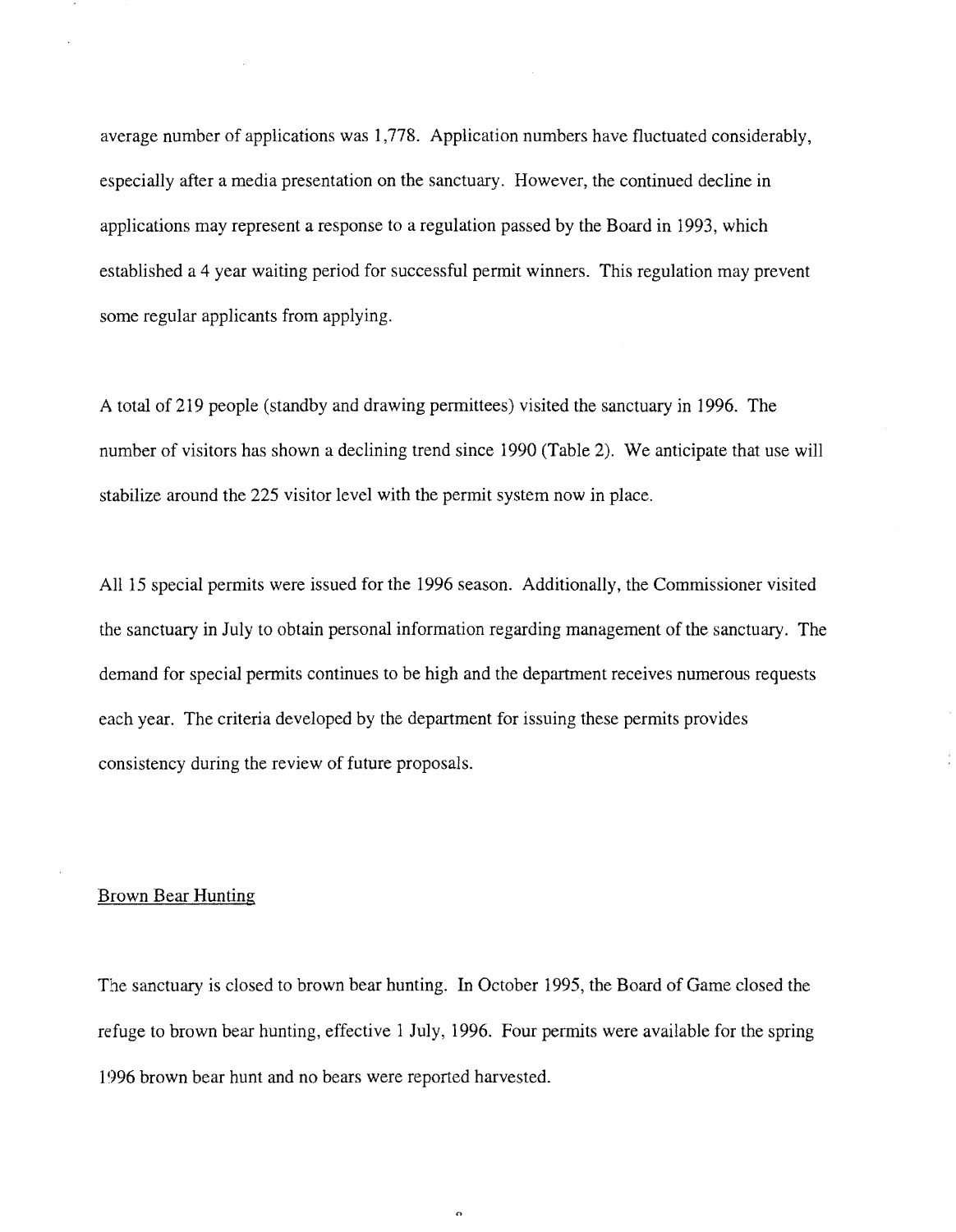average number of applications was 1,778. Application numbers have fluctuated considerably, especially after a media presentation on the sanctuary. However, the continued decline in applications may represent a response to a regulation passed by the Board in 1993, which established a 4 year waiting period for successful permit winners. This regulation may prevent some regular applicants from applying.

A total of 219 people (standby and drawing permittees) visited the sanctuary in 1996. The number of visitors has shown a declining trend since 1990 (Table 2). We anticipate that use will stabilize around the 225 visitor level with the permit system now in place.

All 15 special permits were issued for the 1996 season. Additionally, the Commissioner visited the sanctuary in July to obtain personal information regarding management of the sanctuary. The demand for special permits continues to be high and the department receives numerous requests each year. The criteria developed by the department for issuing these permits provides consistency during the review of future proposals.

# Brown Bear Hunting

The sanctuary is closed to brown bear hunting. In October 1995, the Board of Game closed the refuge to brown bear hunting, effective 1 July, 1996. Four permits were available for the spring 1996 brown bear hunt and no bears were reported harvested.

 $\sigma$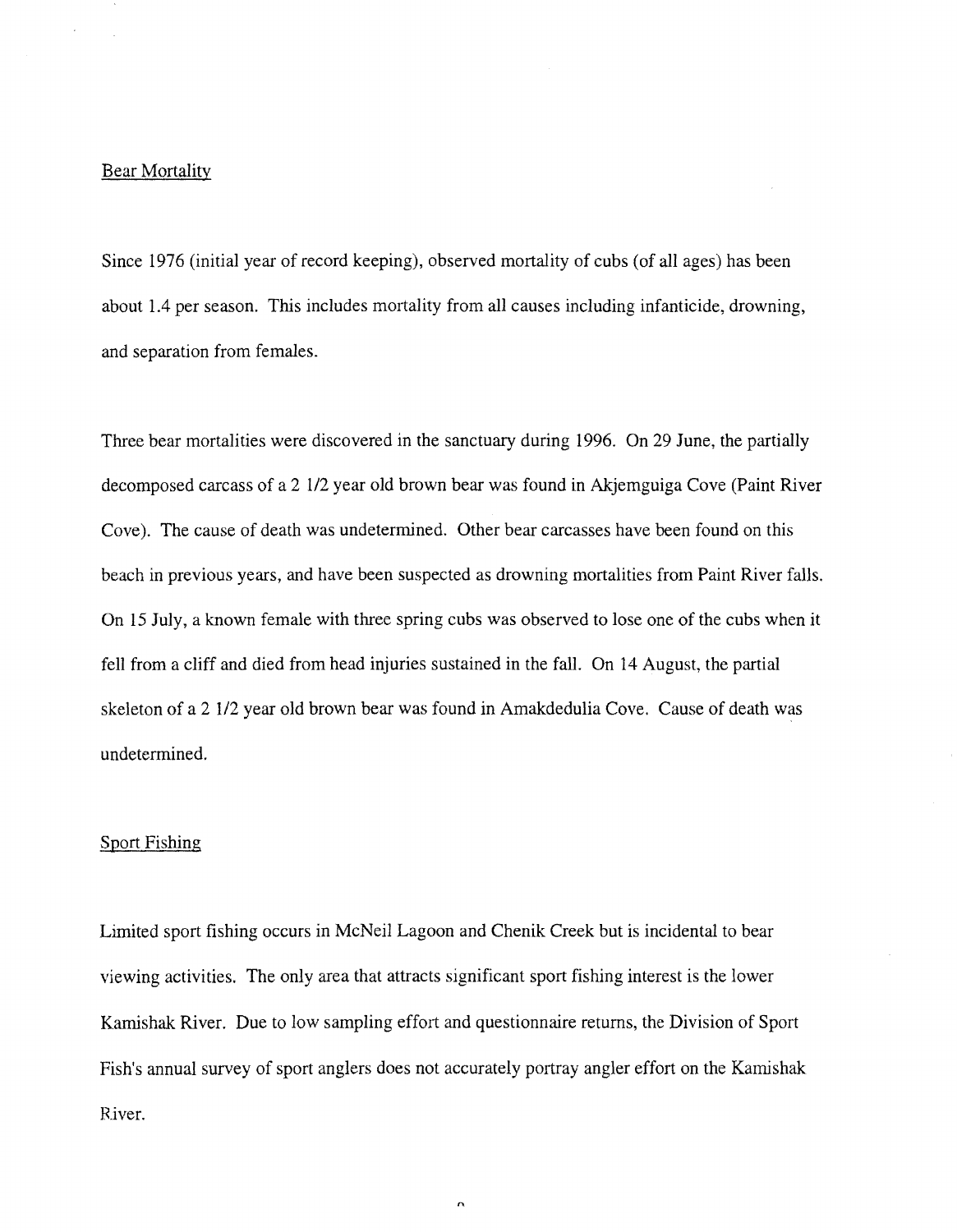## Bear Mortality

Since 1976 (initial year of record keeping), observed mortality of cubs (of all ages) has been about 1.4 per season. This includes mortality from all causes including infanticide, drowning, and separation from females.

Three bear mortalities were discovered in the sanctuary during 1996. On 29 June, the partially decomposed carcass of a 2 112 year old brown bear was found in Akjemguiga Cove (Paint River Cove). The cause of death was undetermined. Other bear carcasses have been found on this beach in previous years, and have been suspected as drowning mortalities from Paint River falls. On 15 July, a known female with three spring cubs was observed to lose one of the cubs when it fell from a cliff and died from head injuries sustained in the fall. On 14 August, the partial skeleton of a 2 1/2 year old brown bear was found in Amakdedulia Cove. Cause of death was undetermined.

#### Sport Fishing

Limited sport fishing occurs in McNeil Lagoon and Chenik Creek but is incidental to bear viewing activities. The only area that attracts significant sport fishing interest is the lower Kamishak River. Due to low sampling effort and questionnaire returns, the Division of Sport Fish's annual survey of sport anglers does not accurately portray angler effort on the Kamishak River.

 $\overline{a}$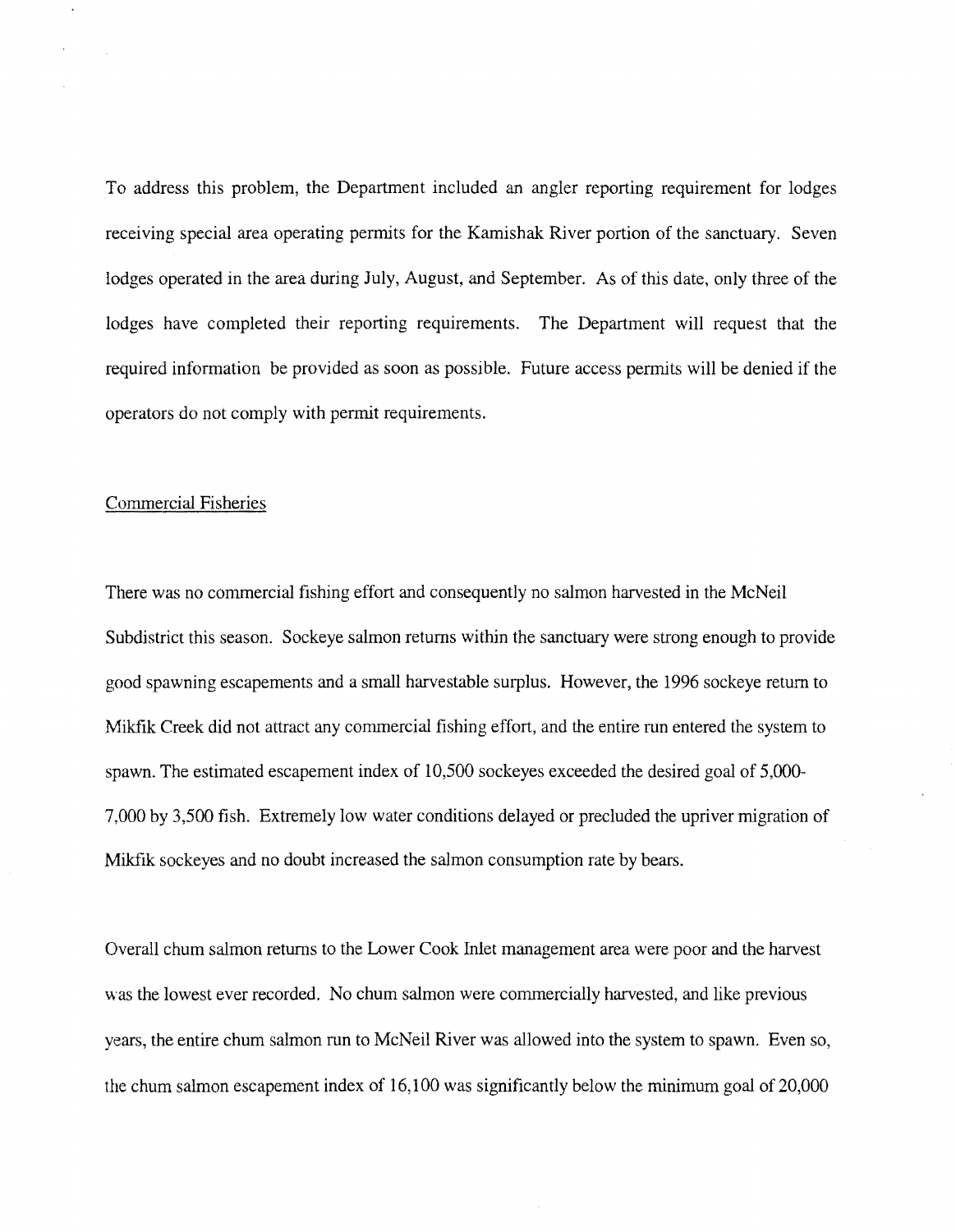To address this problem, the Department included an angler reporting requirement for lodges receiving special area operating permits for the Kamishak River portion of the sanctuary. Seven lodges operated in the area during July, August, and September. As of this date, only three of the lodges have completed their reporting requirements. The Department will request that the required information be provided as soon as possible. Future access permits will be denied if the operators do not comply with permit requirements.

# Commercial Fisheries

There was no commercial fishing effort and consequently no salmon harvested in the McNeil Subdistrict this season. Sockeye salmon returns within the sanctuary were strong enough to provide good spawning escapements and a small harvestable surplus. However, the 1996 sockeye return to Mikfik Creek did not attract any commercial fishing effort, and the entire run entered the system to spawn. The estimated escapement index of 10,500 sockeyes exceeded the desired goal of 5,000 7,000 by 3,500 fish. Extremely low water conditions delayed or precluded the upriver migration of Mikfik sockeyes and no doubt increased the salmon consumption rate by bears.

Overall chum salmon returns to the Lower Cook Inlet management area were poor and the harvest was the lowest ever recorded. No chum salmon were commercially harvested, and like previous years, the entire chum salmon run to McNeil River was allowed into the system to spawn. Even so, the churn salmon escapement index of 16,100 was significantly below the minimum goal of 20,000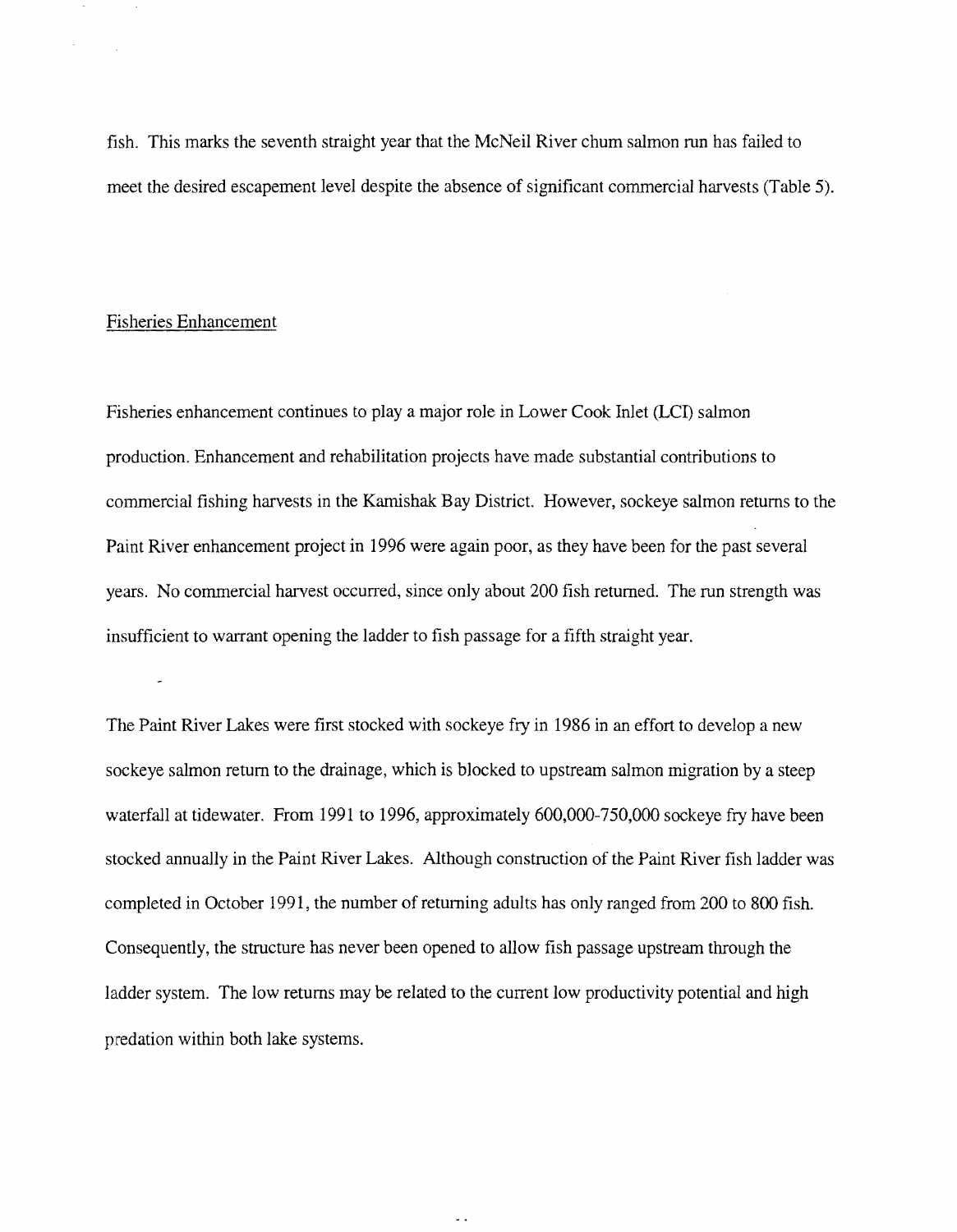fish. This marks the seventh straight year that the McNeil River chum salmon run has failed to meet the desired escapement level despite the absence of significant commercial harvests (Table 5).

# Fisheries Enhancement

 $\sim 10^{-1}$ 

Fisheries enhancement continues to play a major role in Lower Cook Inlet (LCI) salmon production. Enhancement and rehabilitation projects have made substantial contributions to commercial fishing harvests in the Karnishak Bay District. However, sockeye salmon returns to the Paint River enhancement project in 1996 were again poor, as they have been for the past several years. No commercial harvest occurred, since only about 200 fish returned. The run strength was insufficient to warrant opening the ladder to fish passage for a fifth straight year.

The Paint River Lakes were first stocked with sockeye fry in 1986 in an effort to develop a new sockeye salmon return to the drainage, which is blocked to upstream salmon migration by a steep waterfall at tidewater. From 1991 to 1996, approximately 600,000-750,000 sockeye fry have been stocked annually in the Paint River Lakes. Although construction of the Paint River fish ladder was completed in October 1991, the number of returning adults has only ranged from 200 to 800 fish. Consequently, the structure has never been opened to allow fish passage upstream through the ladder system. The low returns may be related to the current low productivity potential and high predation within both lake systems.

 $\sim$   $\sim$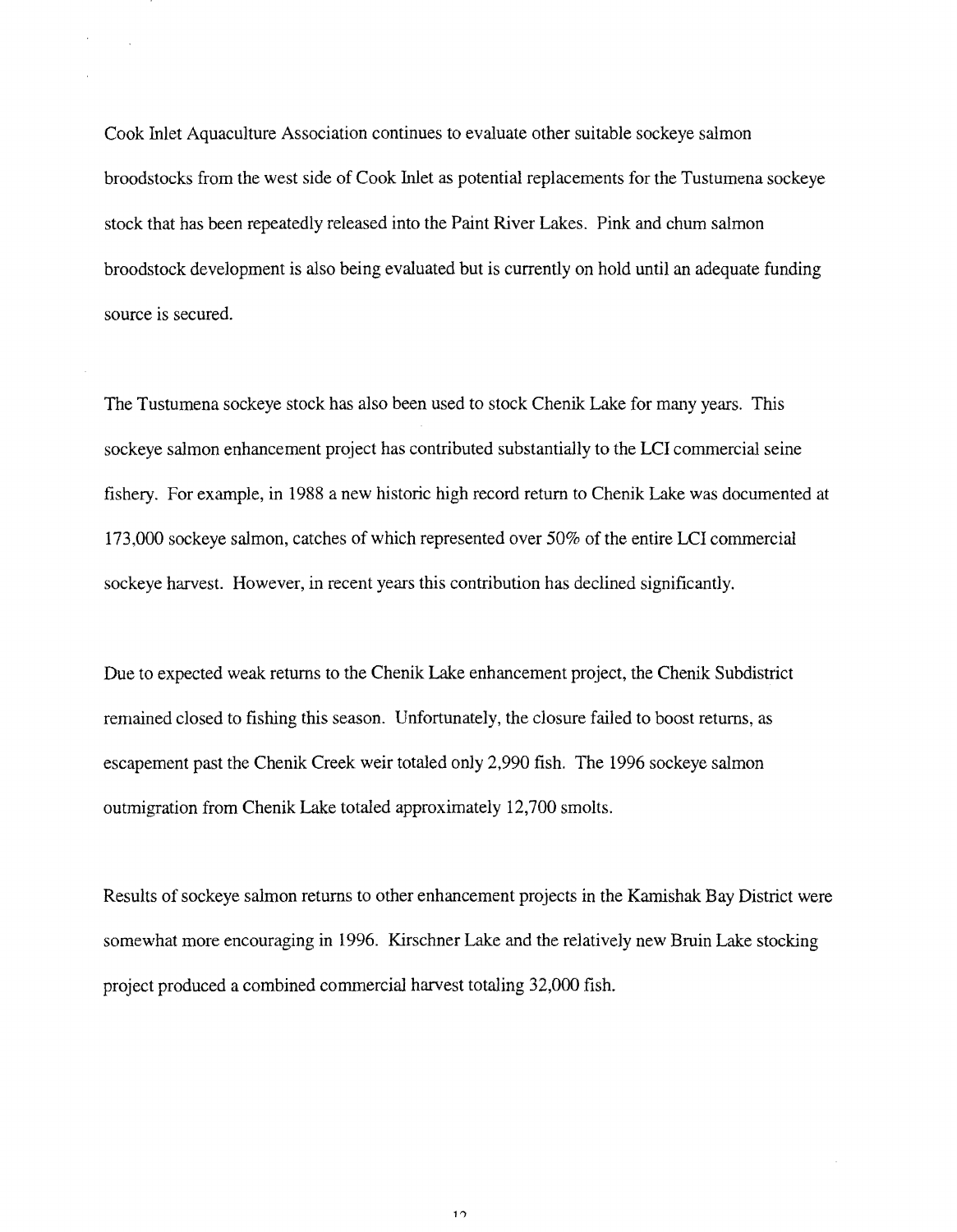Cook Inlet Aquaculture Association continues to evaluate other suitable sockeye salmon broodstocks from the west side of Cook Inlet as potential replacements for the Tustumena sockeye stock that has been repeatedly released into the Paint River Lakes. Pink and chum salmon broodstock development is also being evaluated but is currently on hold until an adequate funding source is secured.

The Tustumena sockeye stock has also been used to stock Chenik Lake for many years. This sockeye salmon enhancement project has contributed substantially to the LCI commercial seine fishery. For example, in 1988 a new historic high record return to Chenik Lake was documented at 173,000 sockeye salmon, catches of which represented over 50% of the entire LCI commercial sockeye harvest. However, in recent years this contribution has declined significantly.

Due to expected weak returns to the Chenik Lake enhancement project, the Chenik Subdistrict remained closed to fishing this season. Unfortunately, the closure failed to boost returns, as escapement past the Chenik Creek weir totaled only 2,990 fish. The 1996 sockeye salmon outmigration from Chenik Lake totaled approximately 12,700 smolts.

Results of sockeye salmon returns to other enhancement projects in the Karnishak Bay District were somewhat more encouraging in 1996. Kirschner Lake and the relatively new Bruin Lake stocking project produced a combined commercial harvest totaling 32,000 fish.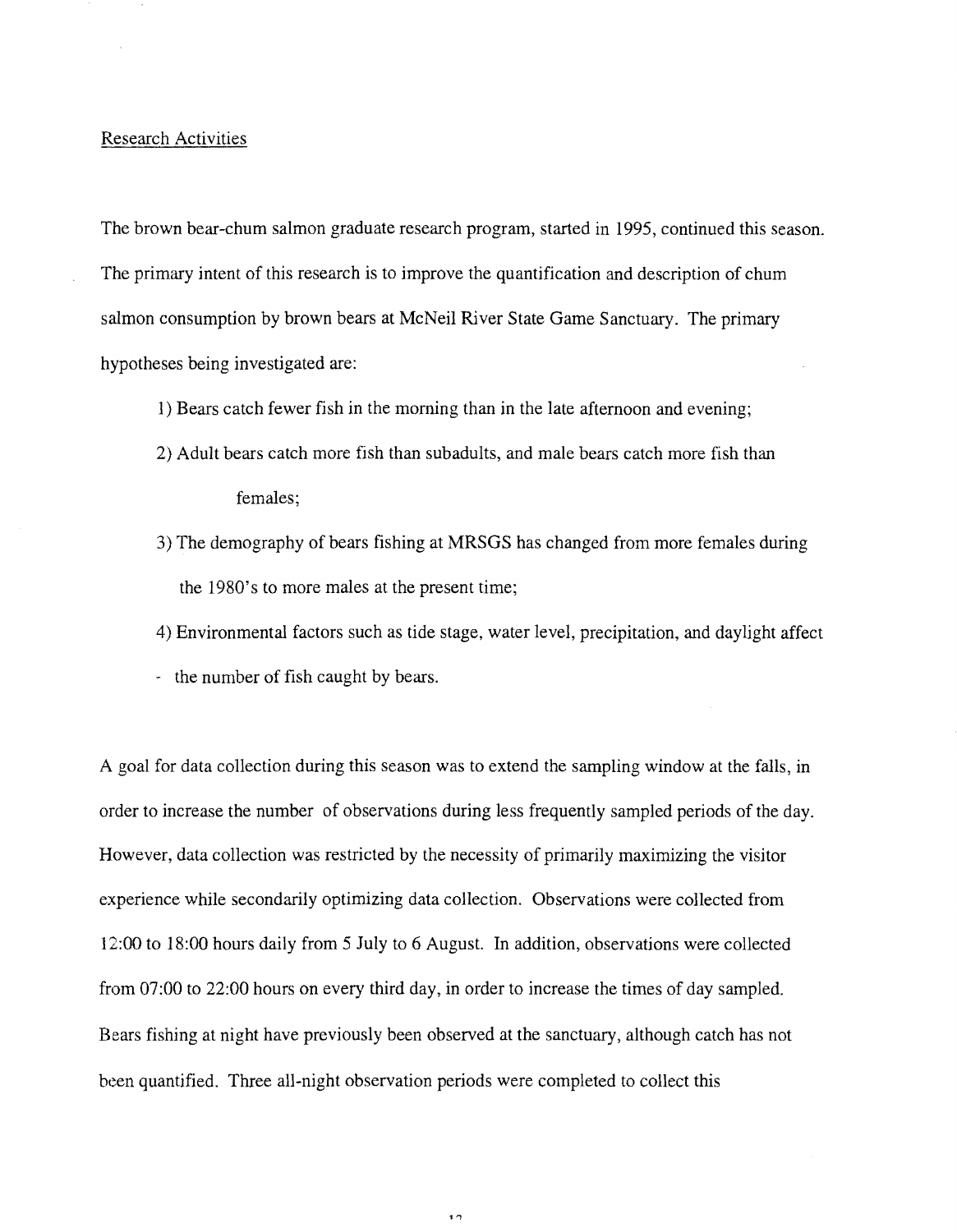### Research Activities

The brown bear-chum salmon graduate research program, started in 1995, continued this season. The primary intent of this research is to improve the quantification and description of chum salmon consumption by brown bears at McNeil River State Game Sanctuary. The primary hypotheses being investigated are:

- 1) Bears catch fewer fish in the morning than in the late afternoon and evening;
- 2) Adult bears catch more fish than subadults, and male bears catch more fish than females;
- 3) The demography of bears fishing at MRSGS has changed from more females during the 1980's to more males at the present time;
- 4) Environmental factors such as tide stage, water level, precipitation, and daylight affect
- the number of fish caught by bears.

A goal for data collection during this season was to extend the sampling window at the falls, in order to increase the number of observations during less frequently sampled periods of the day. However, data collection was restricted by the necessity of primarily maximizing the visitor experience while secondarily optimizing data collection. Observations were collected from 12:00 to 18:00 hours daily from 5 July to 6 August. In addition, observations were collected from 07:00 to 22:00 hours on every third day, in order to increase the times of day sampled. Bears fishing at night have previously been observed at the sanctuary, although catch has not been quantified. Three all-night observation periods were completed to collect this

 $\overline{\phantom{a}}$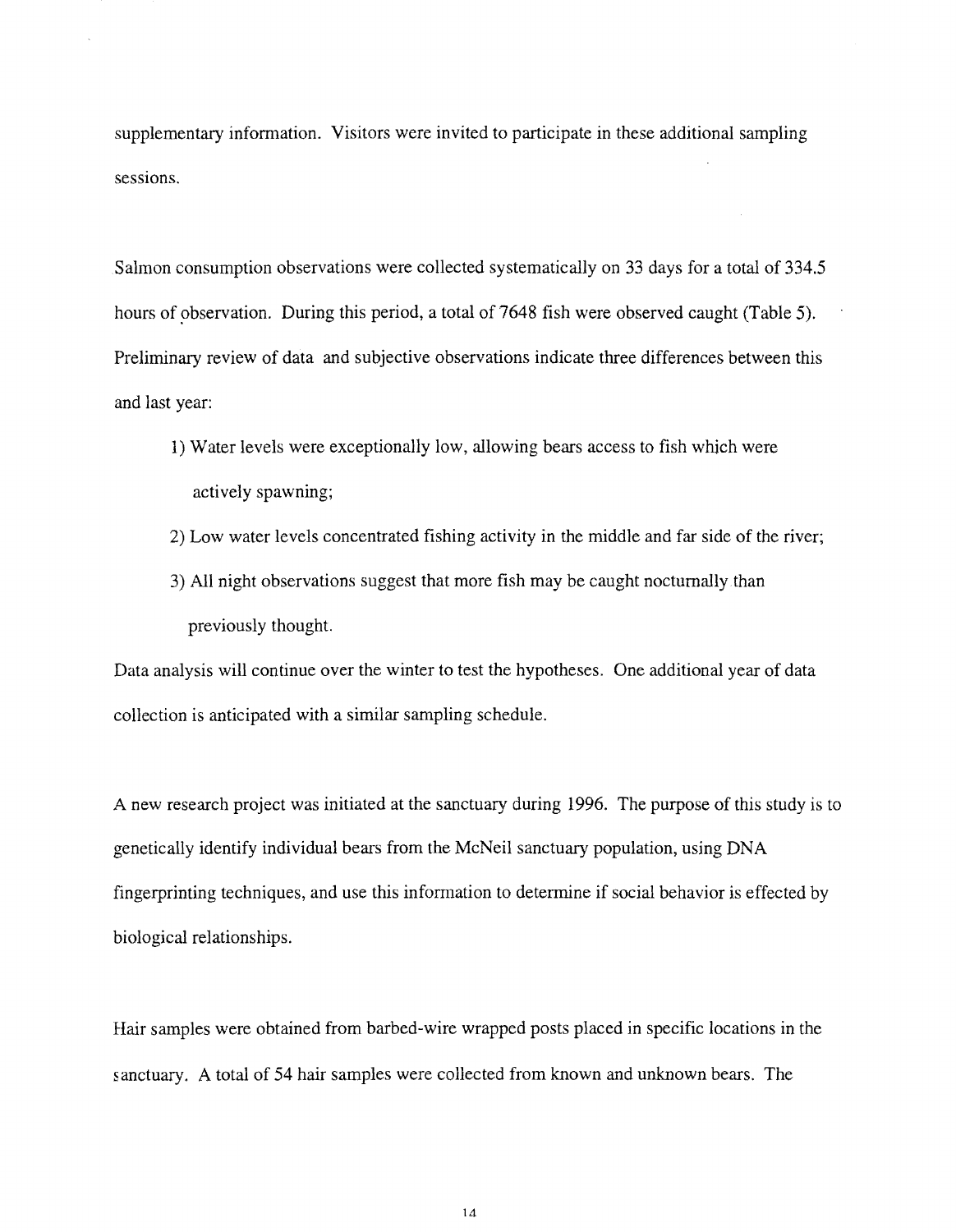supplementary information. Visitors were invited to participate in these additional sampling sessions.

Salmon consumption observations were collected systematically on 33 days for a total of 334.5 hours of observation. During this period, a total of 7648 fish were observed caught (Table 5). Preliminary review of data and subjective observations indicate three differences between this and last year:

- 1) Water levels were exceptionally low, allowing bears access to fish whjch were actively spawning;
- 2) Low water levels concentrated fishing activity in the middle and far side of the river;
- 3) All night observations suggest that more fish may be caught nocturnally.than previously thought.

Data analysis will continue over the winter to test the hypotheses. One additional year of data collection is anticipated with a similar sampling schedule.

A new research project was initiated at the sanctuary during 1996. The purpose of this study is to genetically identify individual bears from the McNeil sanctuary population, using DNA fingerprinting techniques, and use this information to determine if social behavior is effected by biological relationships.

Hair samples were obtained from barbed-wire wrapped posts placed in specific locations in the sanctuary. A total of 54 hair samples were collected from known and unknown bears. The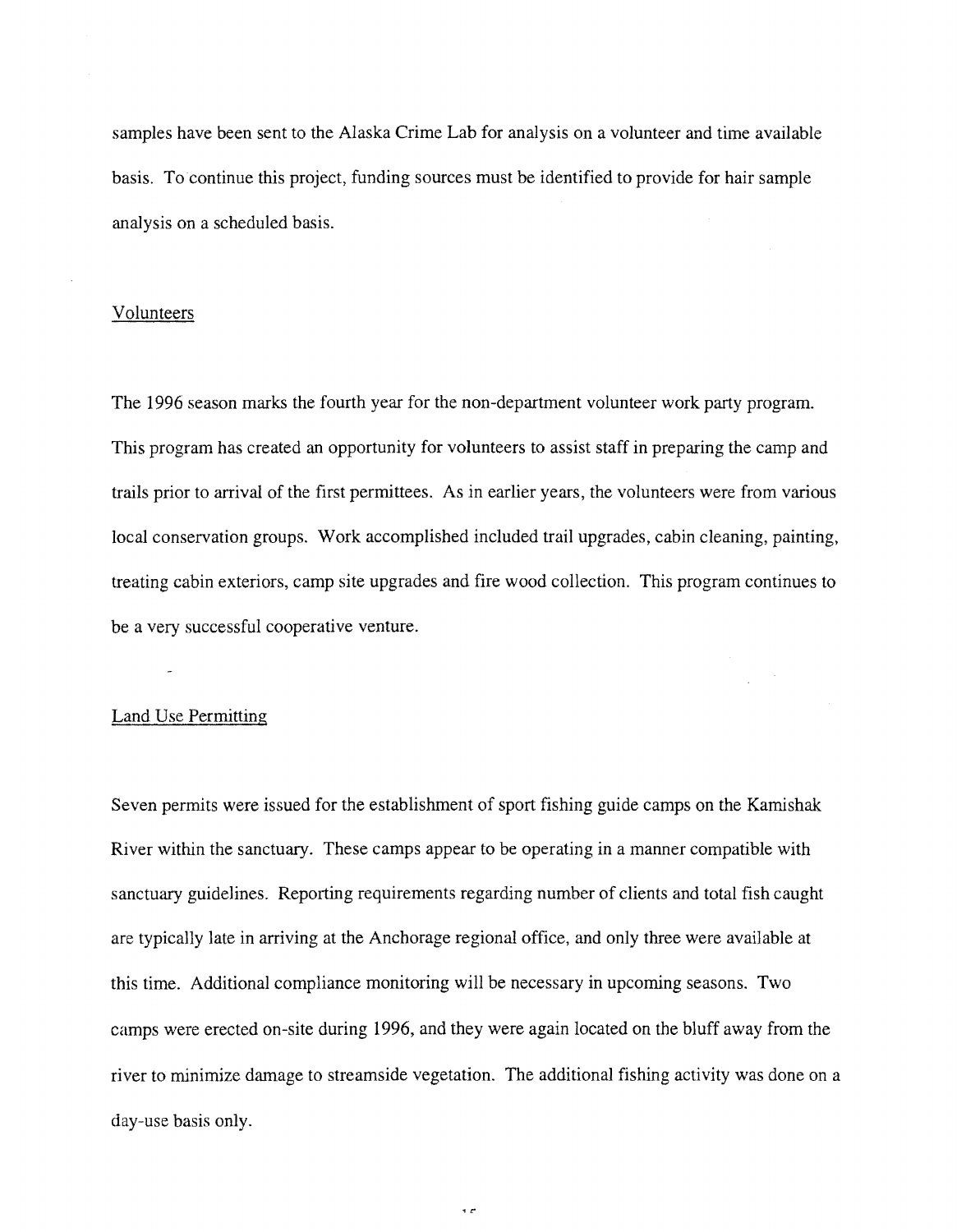samples have been sent to the Alaska Crime Lab for analysis on a volunteer and time available basis. To continue this project, funding sources must be identified to provide for hair sample analysis on a scheduled basis.

# Volunteers

The 1996 season marks the fourth year for the non-department volunteer work party program. This program has created an opportunity for volunteers to assist staff in preparing the camp and trails prior to arrival of the first permittees. As in earlier years, the volunteers were from various local conservation groups. Work accomplished included trail upgrades, cabin cleaning, painting, treating cabin exteriors, camp site upgrades and fire wood collection. This program continues to be a very successful cooperative venture.

# Land Use Permitting

Seven permits were issued for the establishment of sport fishing guide camps on the Kamishak River within the sanctuary. These camps appear to be operating in a manner compatible with sanctuary guidelines. Reporting requirements regarding number of clients and total fish caught are typically late in arriving at the Anchorage regional office, and only three were available at this time. Additional compliance monitoring will be necessary in upcoming seasons. Two camps were erected on-site during 1996, and they were again located on the bluff away from the river to minimize damage to streamside vegetation. The additional fishing activity was done on a day-use basis only.

 $\overline{z}$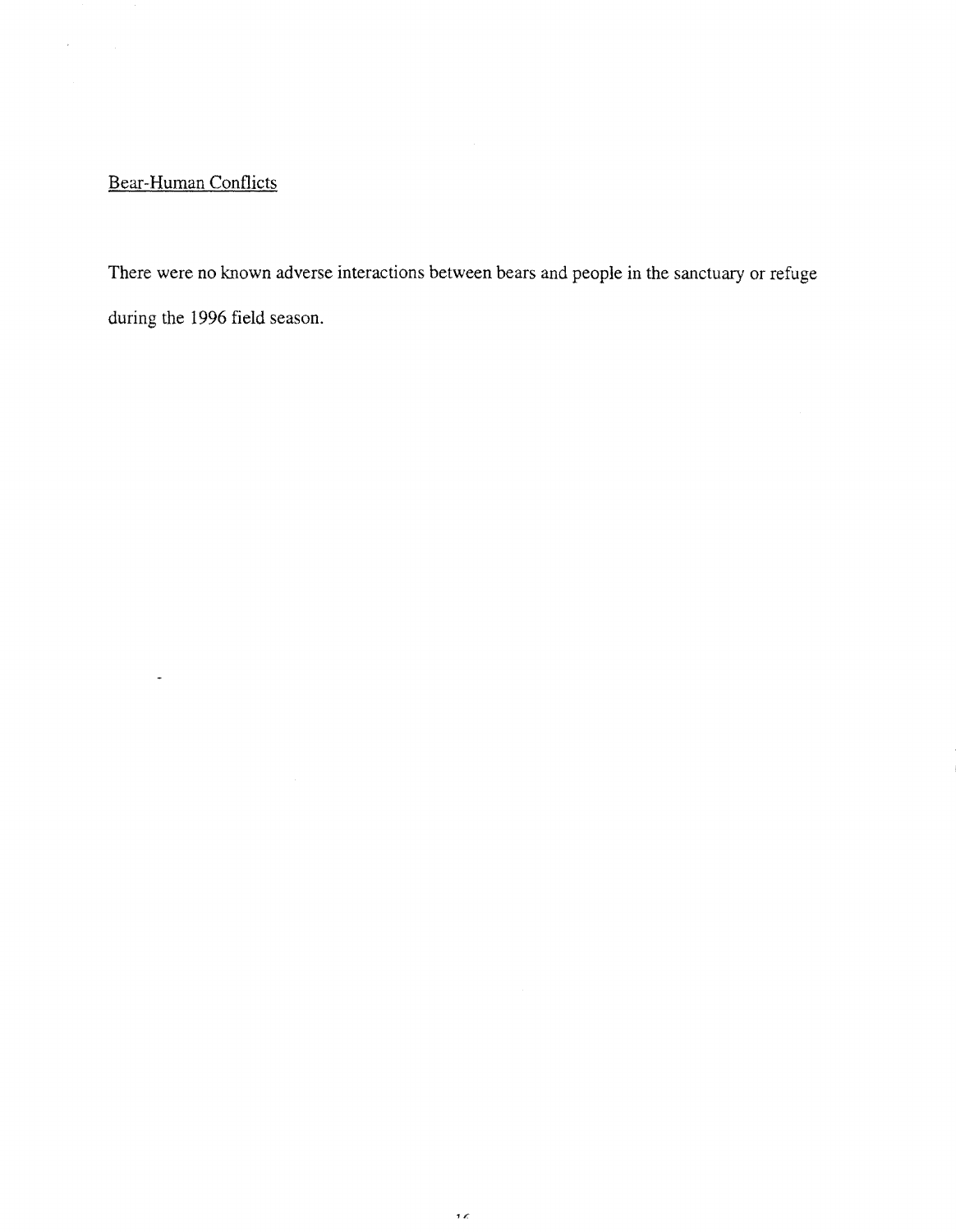# Bear-Human Conflicts

 $\ddot{\phantom{1}}$ 

ł,

There were no known adverse interactions between bears and people in the sanctuary or refuge during the 1996 field season.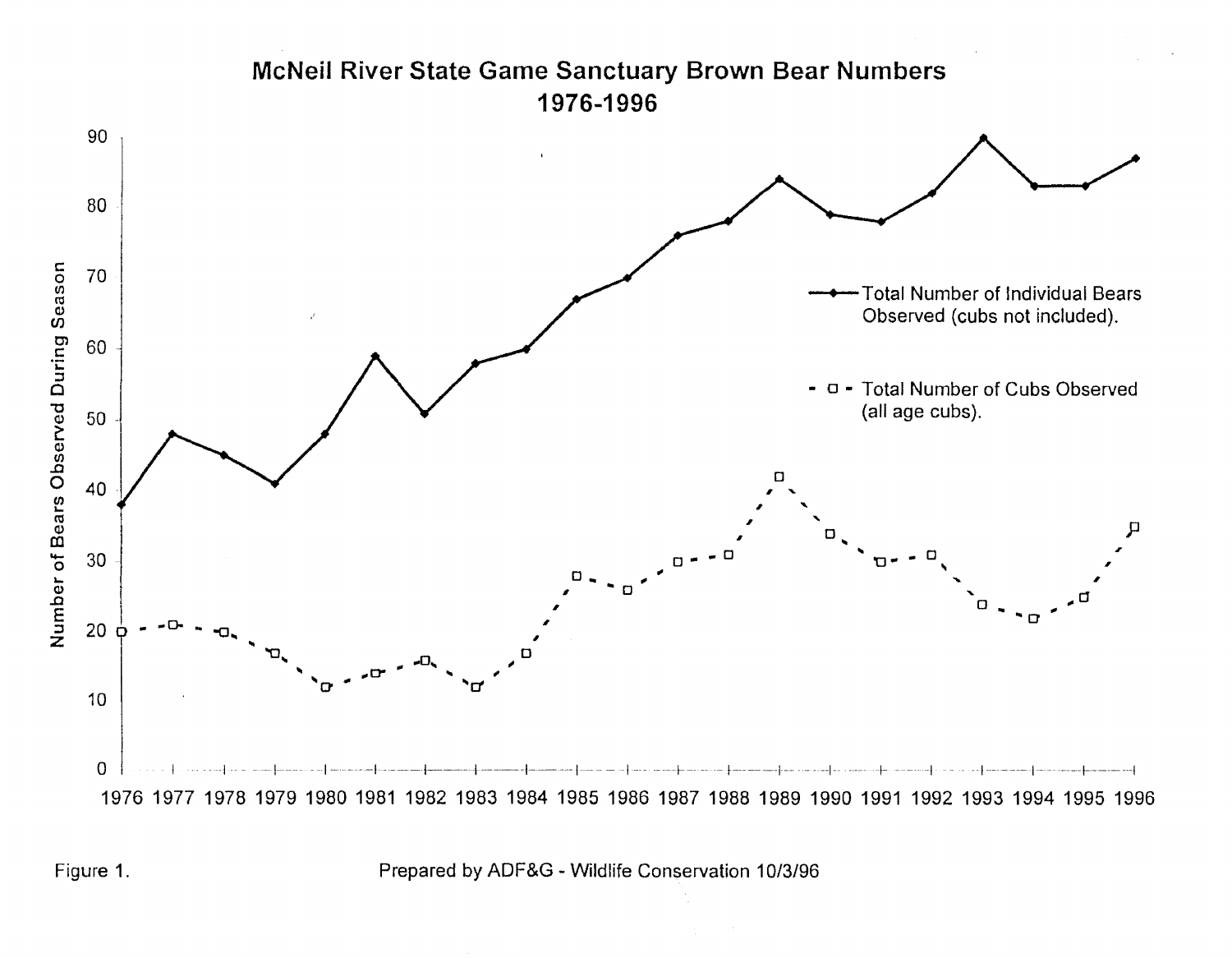

Figure 1. Prepared by ADF&G- Wildlife Conservation 10/3/96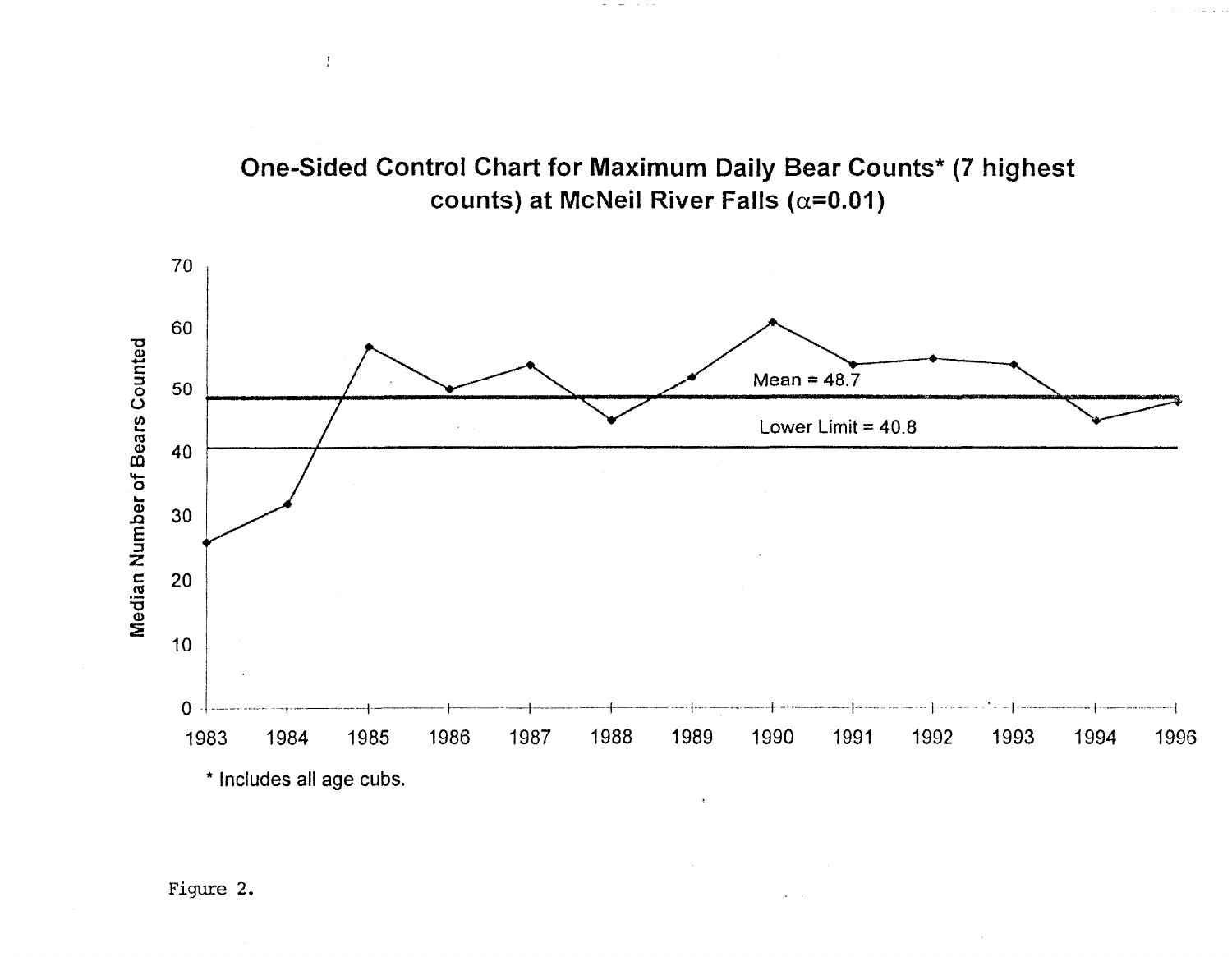

 $\sim$ 



Figure 2.

 $\frac{1}{4}$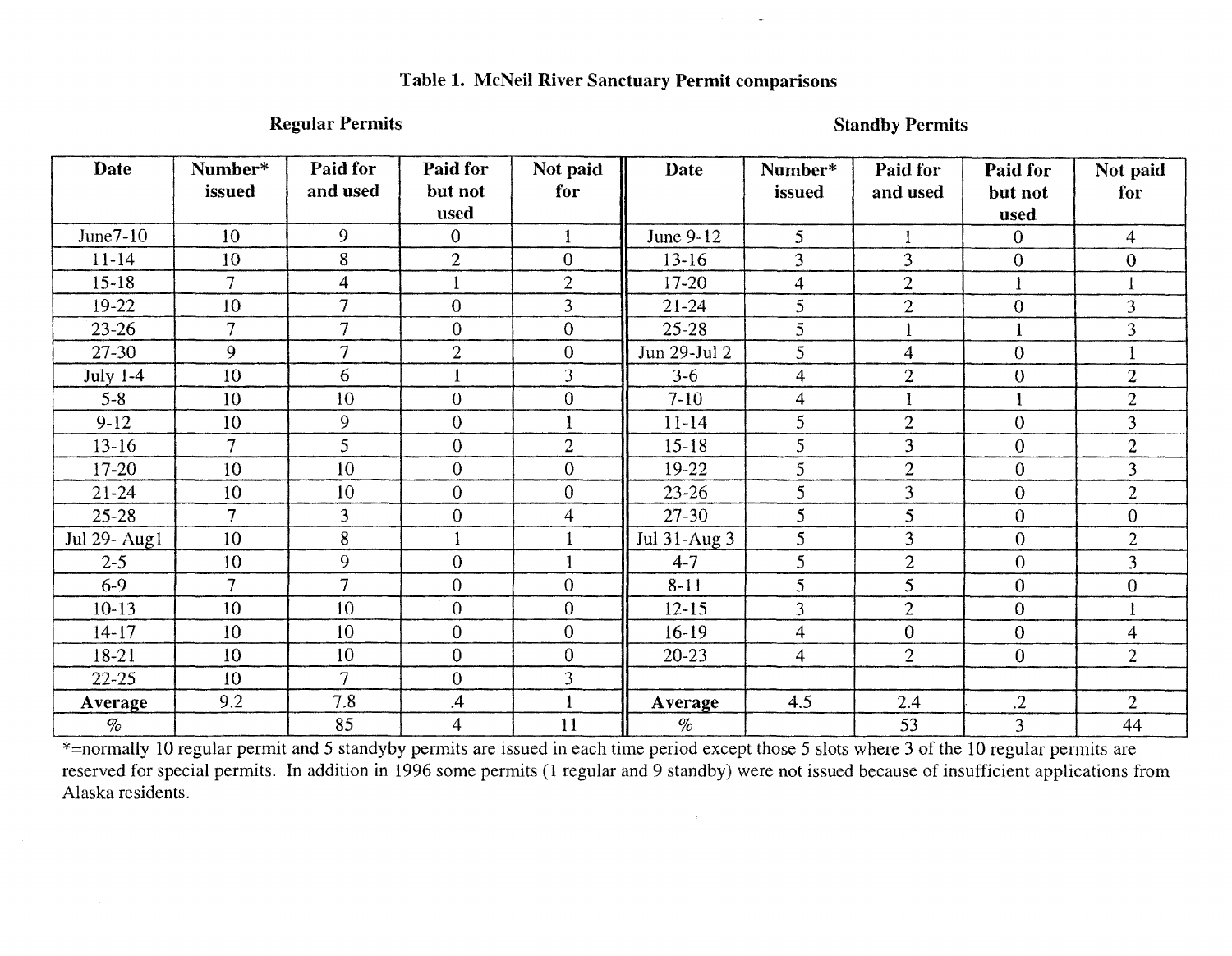# **Table 1. McNeil River Sanctuary Permit comparisons**

**Regular Permits** Standby Permits Standby Permits

| <b>Date</b>  | Number*        | Paid for       | Paid for         | Not paid       | Date         | Number*        | Paid for       | Paid for         | Not paid         |
|--------------|----------------|----------------|------------------|----------------|--------------|----------------|----------------|------------------|------------------|
|              | issued         | and used       | but not<br>used  | for            |              | issued         | and used       | but not<br>used  | for              |
| June7-10     | 10             | 9              | $\overline{0}$   |                | June 9-12    | 5              | 1              | $\overline{0}$   | $\overline{4}$   |
| $11-14$      | 10             | 8              | $\overline{2}$   | $\overline{0}$ | $13-16$      | 3              | 3              | $\theta$         | $\overline{0}$   |
| $15 - 18$    | 7              | 4              |                  | $\overline{2}$ | $17 - 20$    | $\overline{4}$ | $\overline{2}$ |                  |                  |
| $19-22$      | 10             | 7              | $\overline{0}$   | $\overline{3}$ | $21 - 24$    | 5              | $\overline{2}$ | $\overline{0}$   | $\overline{3}$   |
| $23 - 26$    | $\overline{7}$ | $\overline{7}$ | $\overline{0}$   | $\overline{0}$ | $25 - 28$    | 5              |                |                  | $\overline{3}$   |
| 27-30        | 9              | $\overline{7}$ | $\overline{2}$   | $\overline{0}$ | Jun 29-Jul 2 | 5              | $\overline{4}$ | $\overline{0}$   |                  |
| July $1-4$   | 10             | 6              | $\mathbf{1}$     | 3              | $3 - 6$      | $\overline{4}$ | $\overline{2}$ | $\boldsymbol{0}$ | $\overline{2}$   |
| $5 - 8$      | 10             | 10             | $\boldsymbol{0}$ | $\overline{0}$ | $7 - 10$     | $\overline{4}$ |                |                  | $\overline{2}$   |
| $9-12$       | 10             | 9              | $\theta$         |                | $11-14$      | 5              | $\overline{2}$ | $\overline{0}$   | 3                |
| $13 - 16$    | $\overline{7}$ | 5              | $\overline{0}$   | $\overline{2}$ | $15 - 18$    | 5              | 3              | $\overline{0}$   | $\overline{2}$   |
| 17-20        | 10             | 10             | $\mathbf{0}$     | $\overline{0}$ | 19-22        | 5              | $\overline{2}$ | $\overline{0}$   | 3                |
| $21 - 24$    | 10             | 10             | $\boldsymbol{0}$ | $\theta$       | $23 - 26$    | 5              | 3              | $\overline{0}$   | $\overline{2}$   |
| $25 - 28$    | $\overline{7}$ | 3              | $\boldsymbol{0}$ | $\overline{4}$ | $27 - 30$    | 5              | 5              | $\overline{0}$   | $\overline{0}$   |
| Jul 29- Aug1 | 10             | 8              |                  |                | Jul 31-Aug 3 | 5              | 3              | $\mathbf{0}$     | $\overline{2}$   |
| $2 - 5$      | 10             | 9              | $\mathbf{0}$     |                | $4 - 7$      | 5              | $\overline{2}$ | $\overline{0}$   | $\overline{3}$   |
| $6 - 9$      | $\overline{7}$ | $\overline{7}$ | $\overline{0}$   | $\overline{0}$ | $8 - 11$     | 5              | 5              | $\overline{0}$   | $\boldsymbol{0}$ |
| $10-13$      | 10             | 10             | $\overline{0}$   | $\overline{0}$ | $12 - 15$    | 3              | $\overline{2}$ | $\overline{0}$   |                  |
| $14 - 17$    | 10             | 10             | $\overline{0}$   | $\overline{0}$ | $16-19$      | $\overline{4}$ | $\overline{0}$ | $\overline{0}$   | 4                |
| 18-21        | 10             | 10             | $\mathbf{0}$     | $\mathbf{0}$   | $20 - 23$    | $\overline{4}$ | $\overline{2}$ | $\overline{0}$   | $\overline{2}$   |
| $22 - 25$    | 10             | $\overline{7}$ | $\theta$         | 3              |              |                |                |                  |                  |
| Average      | 9.2            | 7.8            | $\mathcal{A}$    |                | Average      | 4.5            | 2.4            | $\cdot$ .2       | $\overline{2}$   |
| $\%$         |                | 85             | $\overline{4}$   | 11             | $\%$         |                | 53             | $\overline{3}$   | 44               |

\*=normally 10 regular permit and 5 standyby permits are issued in each time period except those 5 slots where 3 of the 10 regular permits are reserved for special permits. In addition in 1996 some permits (1 regular and 9 standby) were not issued because of insufficient applications from Alaska residents.

 $\bar{\mathrm{t}}$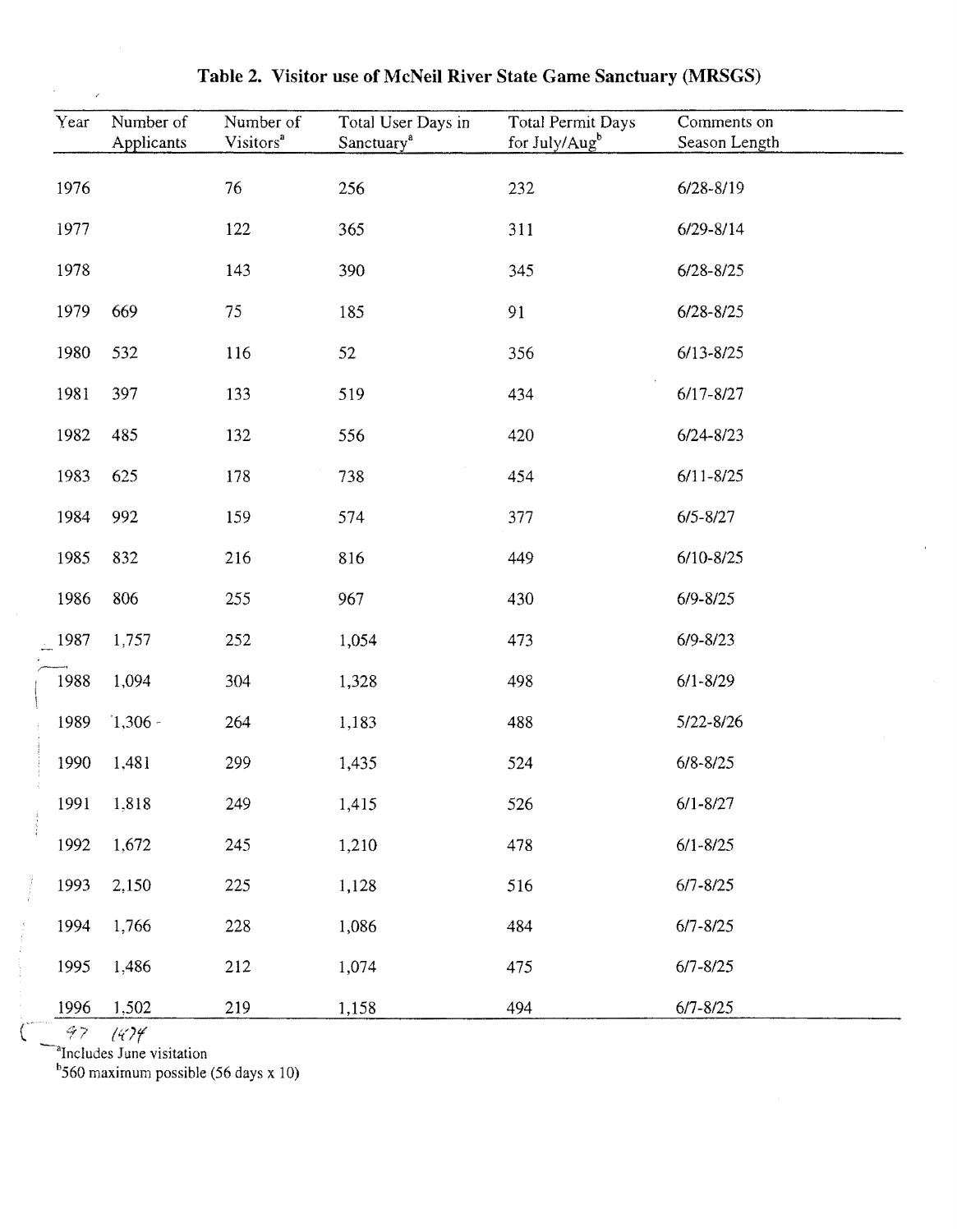| Year | Number of<br>Applicants | Number of<br>Visitors <sup>a</sup> | Total User Days in<br>Sanctuary <sup>a</sup> | <b>Total Permit Days</b><br>for July/Aug <sup>b</sup> | Comments on<br>Season Length |
|------|-------------------------|------------------------------------|----------------------------------------------|-------------------------------------------------------|------------------------------|
| 1976 |                         | 76                                 | 256                                          | 232                                                   | $6/28 - 8/19$                |
| 1977 |                         | 122                                | 365                                          | 311                                                   | $6/29 - 8/14$                |
| 1978 |                         | 143                                | 390                                          | 345                                                   | $6/28 - 8/25$                |
| 1979 | 669                     | 75                                 | 185                                          | 91                                                    | $6/28 - 8/25$                |
| 1980 | 532                     | 116                                | 52                                           | 356                                                   | $6/13 - 8/25$                |
| 1981 | 397                     | 133                                | 519                                          | 434                                                   | $6/17 - 8/27$                |
| 1982 | 485                     | 132                                | 556                                          | 420                                                   | $6/24 - 8/23$                |
| 1983 | 625                     | 178                                | 738                                          | 454                                                   | $6/11 - 8/25$                |
| 1984 | 992                     | 159                                | 574                                          | 377                                                   | $6/5 - 8/27$                 |
| 1985 | 832                     | 216                                | 816                                          | 449                                                   | $6/10 - 8/25$                |
| 1986 | 806                     | 255                                | 967                                          | 430                                                   | $6/9 - 8/25$                 |
| 1987 | 1,757                   | 252                                | 1,054                                        | 473                                                   | $6/9 - 8/23$                 |
| 1988 | 1,094                   | 304                                | 1,328                                        | 498                                                   | $6/1 - 8/29$                 |
| 1989 | $1,306 -$               | 264                                | 1,183                                        | 488                                                   | 5/22-8/26                    |
| 1990 | 1,481                   | 299                                | 1,435                                        | 524                                                   | $6/8 - 8/25$                 |
| 1991 | 1,818                   | 249                                | 1,415                                        | 526                                                   | $6/1 - 8/27$                 |
| 1992 | 1,672                   | 245                                | 1,210                                        | 478                                                   | $6/1 - 8/25$                 |
| 1993 | 2,150                   | 225                                | 1,128                                        | 516                                                   | $6/7 - 8/25$                 |
| 1994 | 1,766                   | 228                                | 1,086                                        | 484                                                   | $6/7 - 8/25$                 |
| 1995 | 1,486                   | 212                                | 1,074                                        | 475                                                   | $6/7 - 8/25$                 |
| 1996 | 1,502                   | 219                                | 1,158                                        | 494                                                   | $6/7 - 8/25$                 |

**Table 2. Visitor use of McNeil River State Game Sanctuary (MRSGS)** 

 $b$ 560 maximum possible (56 days x 10)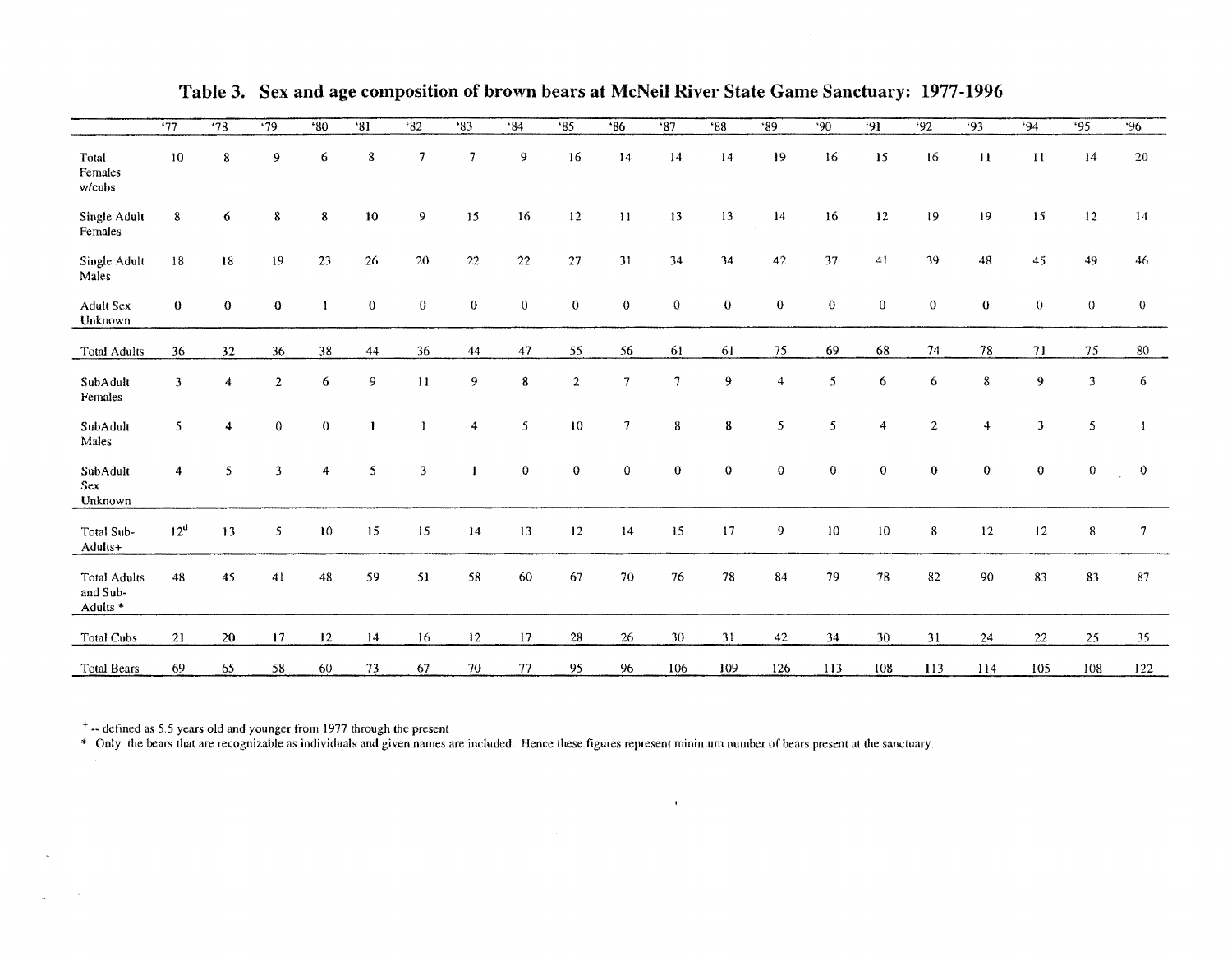|                                             | $\overline{37}$ | .78            | $\overline{.79}$        | .80          | '81            | 82           | '83            | 84           | '85              | <b>'86</b>     | <b>'87</b> | $*38$        | $*89$          | .90            | 91             | 92             | .93            | .94              | .95          | 96              |
|---------------------------------------------|-----------------|----------------|-------------------------|--------------|----------------|--------------|----------------|--------------|------------------|----------------|------------|--------------|----------------|----------------|----------------|----------------|----------------|------------------|--------------|-----------------|
| Total<br>Females<br>w/cubs                  | 10              | 8              | 9                       | 6            | 8              | 7            | 7              | 9            | 16               | 14             | 14         | 14           | 19             | 16             | 15             | 16             | $\mathbf{H}$   | 11               | 14           | 20              |
| Single Adult<br>Females                     | $\bf 8$         | 6              | 8                       | 8            | $10\,$         | 9            | 15             | 16           | 12               | $\bf{11}$      | 13         | 13           | 14             | 16             | $12\,$         | 19             | 19             | 15               | 12           | 14              |
| Single Adult<br>Males                       | 18              | ${\bf 18}$     | 19                      | 23           | 26             | 20           | 22             | 22           | 27               | 31             | 34         | 34           | $42\,$         | 37             | 41             | 39             | 48             | 45               | 49           | 46              |
| <b>Adult Sex</b><br>Unknown                 | $\bf{0}$        | $\bf{0}$       | $\bf{0}$                |              | $\bf{0}$       | $\mathbf{0}$ | $\bf{0}$       | $\bf{0}$     | $\pmb{0}$        | $\mathbf 0$    | $\Omega$   | $\theta$     | $\mathbf 0$    | $\bf{0}$       | $\mathbf{0}$   | $\sigma$       | $\mathbf 0$    | $\boldsymbol{0}$ | $\theta$     | $\theta$        |
| <b>Total Adults</b>                         | 36              | 32             | 36                      | 38           | 44             | 36           | 44             | 47           | 55               | 56             | 61         | 61           | 75             | 69             | 68             | 74             | 78             | 71               | 75           | 80              |
| SubAdult<br>Females                         | 3               | 4              | $\overline{2}$          | 6            | $\overline{9}$ | $\mathbf{H}$ | 9              | 8            | $\boldsymbol{2}$ | 7              | $\tau$     | 9            | $\overline{4}$ | 5              | 6              | 6              | $8\,$          | 9                | $\mathbf{3}$ | 6               |
| SubAdult<br>Males                           | 5               | $\overline{4}$ | $\mathbf{0}$            | $\mathbf{0}$ | $\mathbf{1}$   | $\mathbf{r}$ | $\overline{4}$ | 5            | $10\,$           | $\overline{7}$ | 8          | 8            | $\mathfrak{s}$ | 5              | $\overline{4}$ | $\overline{2}$ | $\overline{4}$ | 3                | 5            |                 |
| SubAdult<br>Sex<br>Unknown                  | $\overline{4}$  | 5              | $\overline{\mathbf{3}}$ | 4            | 5              | 3            |                | $\mathbf{0}$ | $\mathbf 0$      | $\mathbf{0}$   | $\bf{0}$   | $\mathbf{0}$ | $\mathbf 0$    | $\overline{0}$ | $\mathbf{0}$   | $\theta$       | $\mathbf 0$    | $\theta$         | $\theta$     | $\mathbf{0}$    |
| Total Sub-<br>Adults+                       | $12^d$          | 13             | 5                       | $10\,$       | 15             | 15           | 14             | 13           | $12 \,$          | 14             | $15\,$     | 17           | 9              | $10\,$         | 10             | 8              | 12             | $12\,$           | 8            | 7               |
| <b>Total Adults</b><br>and Sub-<br>Adults * | 48              | 45             | 41                      | 48           | 59             | 51           | 58             | 60           | 67               | $70\,$         | 76         | 78           | 84             | 79             | $78\,$         | 82             | 90             | 83               | 83           | 87              |
| Total Cubs                                  | 21              | 20             | 17                      | 12           | $^{14}$        | 16           | 12             | 17           | 28               | $26\,$         | 30         | 31           | 42             | 34             | 30             | 31             | 24             | $22\,$           | 25           | 35 <sub>1</sub> |
| <b>Total Bears</b>                          | 69              | 65             | 58                      | 60           | 73             | 67           | 70             | 77           | 95               | 96             | 106        | 109          | 126            | 113            | 108            | 113            | 114            | 105              | 108          | 122             |

 $\mathbf{u}^{\dagger}$ 

**Table 3. Sex and age composition of brown bears at McNeil River State Game Sanctuary: 1977-1996** 

+ -- defined as 5.5 years old and younger from 1977 through the present

 $\mathcal{L}$ 

• Only the bears that are recognizable as individuals and given names are included. Hence these figures represent minimum number of bears present at the sanctuary.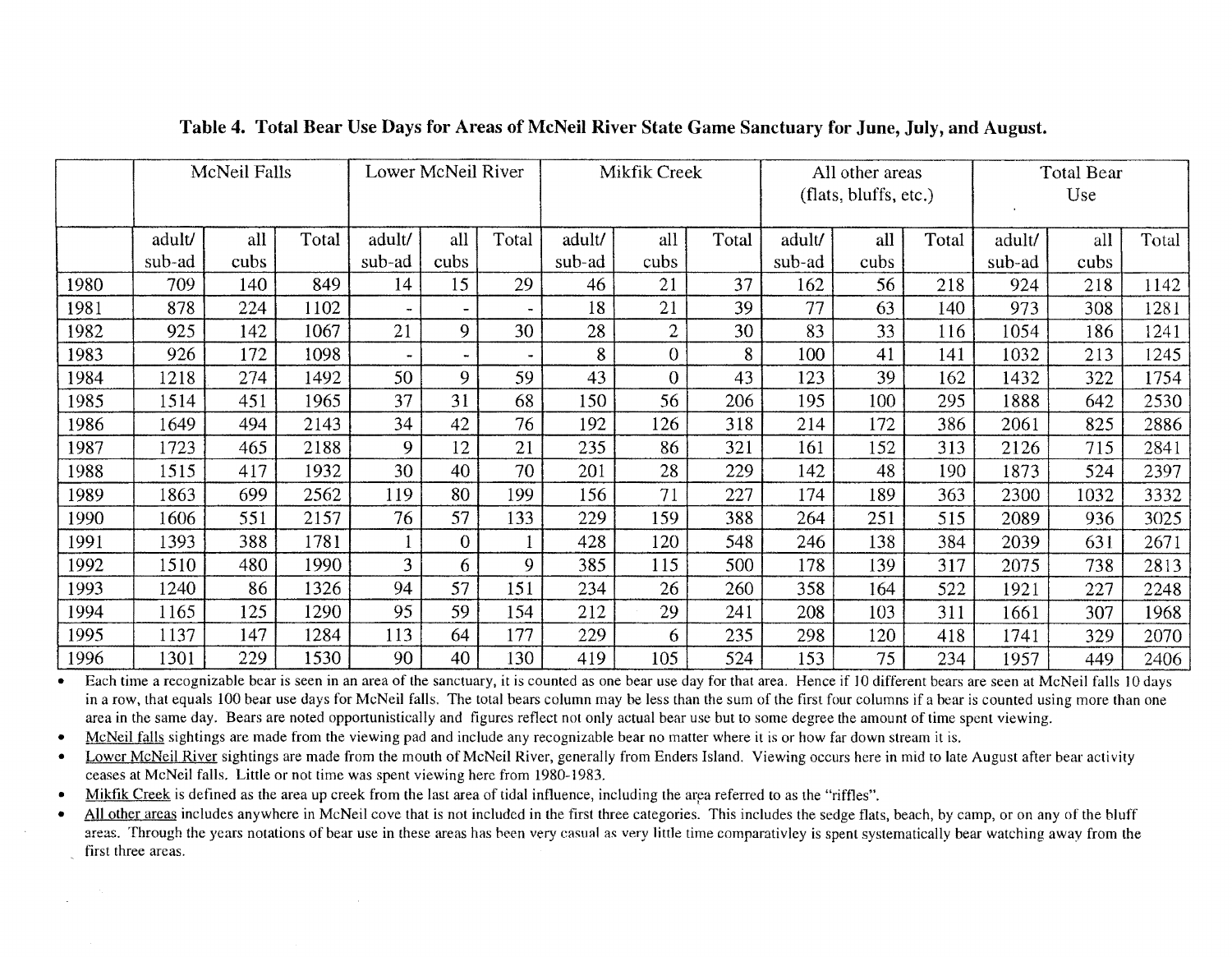|      | McNeil Falls |      | Lower McNeil River |                        |      | Mikfik Creek |                        |                | All other areas |                        |      | <b>Total Bear</b> |                        |      |      |
|------|--------------|------|--------------------|------------------------|------|--------------|------------------------|----------------|-----------------|------------------------|------|-------------------|------------------------|------|------|
|      |              |      |                    |                        |      |              |                        |                |                 | (flats, bluffs, etc.)  |      |                   | Use                    |      |      |
|      | adult/       | all  | Total              | all<br>Total<br>adult/ |      |              | all<br>Total<br>adult/ |                |                 | all<br>Total<br>adult/ |      |                   | Total<br>adult/<br>all |      |      |
|      | sub-ad       | cubs |                    | sub-ad                 | cubs |              | sub-ad                 | cubs           |                 | sub-ad                 | cubs |                   | sub-ad                 | cubs |      |
| 1980 | 709          | 140  | 849                | 14                     | 15   | 29           | 46                     | 21             | 37              | 162                    | 56   | 218               | 924                    | 218  | 1142 |
| 1981 | 878          | 224  | 1102               |                        |      |              | 18                     | 21             | 39              | 77                     | 63   | 140               | 973                    | 308  | 1281 |
| 1982 | 925          | 142  | 1067               | 21                     | 9    | 30           | 28                     | $\overline{2}$ | 30              | 83                     | 33   | 116               | 1054                   | 186  | 1241 |
| 1983 | 926          | 172  | 1098               |                        |      |              | 8                      | $\overline{0}$ | 8               | 100                    | 41   | 141               | 1032                   | 213  | 1245 |
| 1984 | 1218         | 274  | 1492               | 50                     | 9    | 59           | 43                     | $\overline{0}$ | 43              | 123                    | 39   | 162               | 1432                   | 322  | 1754 |
| 1985 | 1514         | 451  | 1965               | 37                     | 31   | 68           | 150                    | 56             | 206             | 195                    | 100  | 295               | 1888                   | 642  | 2530 |
| 1986 | 1649         | 494  | 2143               | 34                     | 42   | 76           | 192                    | 126            | 318             | 214                    | 172  | 386               | 2061                   | 825  | 2886 |
| 1987 | 1723         | 465  | 2188               | 9                      | 12   | 21           | 235                    | 86             | 321             | 161                    | 152  | 313               | 2126                   | 715  | 2841 |
| 1988 | 1515         | 417  | 1932               | 30                     | 40   | 70           | 201                    | 28             | 229             | 142                    | 48   | 190               | 1873                   | 524  | 2397 |
| 1989 | 1863         | 699  | 2562               | 119                    | 80   | 199          | 156                    | 71             | 227             | 174                    | 189  | 363               | 2300                   | 1032 | 3332 |
| 1990 | 1606         | 551  | 2157               | 76                     | 57   | 133          | 229                    | 159            | 388             | 264                    | 251  | 515               | 2089                   | 936  | 3025 |
| 1991 | 1393         | 388  | 1781               |                        | 0    |              | 428                    | 120            | 548             | 246                    | 138  | 384               | 2039                   | 631  | 2671 |
| 1992 | 1510         | 480  | 1990               | 3                      | 6.   | 9            | 385                    | 115            | 500             | 178                    | 139  | 317               | 2075                   | 738  | 2813 |
| 1993 | 1240         | 86   | 1326               | 94                     | 57   | 151          | 234                    | 26             | 260             | 358                    | 164  | 522               | 1921                   | 227  | 2248 |
| 1994 | 1165         | 125  | 1290               | 95                     | 59   | 154          | 212                    | 29             | 241             | 208                    | 103  | 311               | 1661                   | 307  | 1968 |
| 1995 | 1137         | 147  | 1284               | 113                    | 64   | 177          | 229                    | 6              | 235             | 298                    | 120  | 418               | 1741                   | 329  | 2070 |
| 1996 | 1301         | 229  | 1530               | 90                     | 40   | 130          | 419                    | 105            | 524             | 153                    | 75   | 234               | 1957                   | 449  | 2406 |

# Table 4. Total Bear Use Days for Areas of McNeil River State Game Sanctuary for June, July, and August.

• Each time a recognizable bear is seen in an area of the sanctuary, it is counted as one bear use day for that area. Hence if 10 different bears are seen at McNeil falls 10 days in a row, that equals 100 bear use days for McNeil falls. The total bears column may be less than the sum of the first four columns if a bear is counted using more than one area in the same day. Bears are noted opportunistically and figures reflect not only actual bear use but to some degree the amount of time spent viewing.

• McNeil falls sightings are made from the viewing pad and include any recognizable bear no matter where it is or how far down stream it is.

• Lower McNeil River sightings are made from the mouth of McNeil River, generally from Enders Island. Viewing occurs here in mid to late August after bear activity ceases at McNeil falls. Little or not time was spent viewing here from 1980-1983.

• Mikfik Creek is defined as the area up creek from the last area of tidal influence, including the area referred to as the "riffles".

• All other areas includes anywhere in McNeil cove that is not included in the first three categories. This includes the sedge flats, beach, by camp, or on any of the bluff areas. Through the years notations of bear use in these areas has been very casual as very little time comparativley is spent systematically bear watching away from the first three areas.